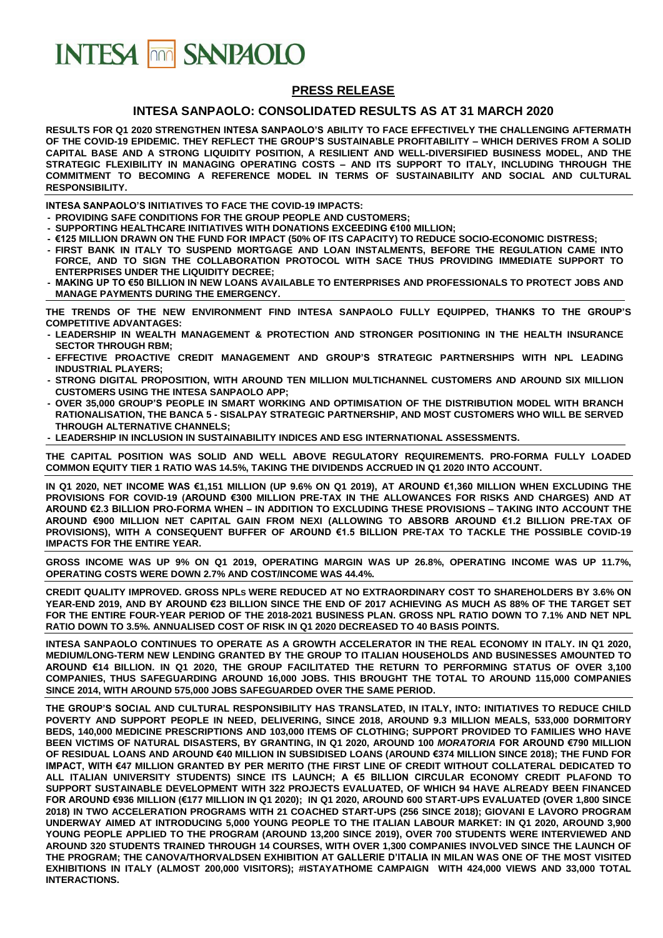# **INTESA FOR SANPAOLO**

#### **PRESS RELEASE**

#### **INTESA SANPAOLO: CONSOLIDATED RESULTS AS AT 31 MARCH 2020**

**RESULTS FOR Q1 2020 STRENGTHEN INTESA SANPAOLO'S ABILITY TO FACE EFFECTIVELY THE CHALLENGING AFTERMATH OF THE COVID-19 EPIDEMIC. THEY REFLECT THE GROUP'S SUSTAINABLE PROFITABILITY – WHICH DERIVES FROM A SOLID CAPITAL BASE AND A STRONG LIQUIDITY POSITION, A RESILIENT AND WELL-DIVERSIFIED BUSINESS MODEL, AND THE STRATEGIC FLEXIBILITY IN MANAGING OPERATING COSTS – AND ITS SUPPORT TO ITALY, INCLUDING THROUGH THE COMMITMENT TO BECOMING A REFERENCE MODEL IN TERMS OF SUSTAINABILITY AND SOCIAL AND CULTURAL RESPONSIBILITY.**

**INTESA SANPAOLO'S INITIATIVES TO FACE THE COVID-19 IMPACTS:**

- **- PROVIDING SAFE CONDITIONS FOR THE GROUP PEOPLE AND CUSTOMERS;**
- **- SUPPORTING HEALTHCARE INITIATIVES WITH DONATIONS EXCEEDING €100 MILLION;**
- **- €125 MILLION DRAWN ON THE FUND FOR IMPACT (50% OF ITS CAPACITY) TO REDUCE SOCIO-ECONOMIC DISTRESS;**
- **- FIRST BANK IN ITALY TO SUSPEND MORTGAGE AND LOAN INSTALMENTS, BEFORE THE REGULATION CAME INTO FORCE, AND TO SIGN THE COLLABORATION PROTOCOL WITH SACE THUS PROVIDING IMMEDIATE SUPPORT TO ENTERPRISES UNDER THE LIQUIDITY DECREE;**
- **- MAKING UP TO €50 BILLION IN NEW LOANS AVAILABLE TO ENTERPRISES AND PROFESSIONALS TO PROTECT JOBS AND MANAGE PAYMENTS DURING THE EMERGENCY.**

**THE TRENDS OF THE NEW ENVIRONMENT FIND INTESA SANPAOLO FULLY EQUIPPED, THANKS TO THE GROUP'S COMPETITIVE ADVANTAGES:**

- **- LEADERSHIP IN WEALTH MANAGEMENT & PROTECTION AND STRONGER POSITIONING IN THE HEALTH INSURANCE SECTOR THROUGH RBM;**
- **- EFFECTIVE PROACTIVE CREDIT MANAGEMENT AND GROUP'S STRATEGIC PARTNERSHIPS WITH NPL LEADING INDUSTRIAL PLAYERS;**
- **- STRONG DIGITAL PROPOSITION, WITH AROUND TEN MILLION MULTICHANNEL CUSTOMERS AND AROUND SIX MILLION CUSTOMERS USING THE INTESA SANPAOLO APP;**
- **- OVER 35,000 GROUP'S PEOPLE IN SMART WORKING AND OPTIMISATION OF THE DISTRIBUTION MODEL WITH BRANCH RATIONALISATION, THE BANCA 5 - SISALPAY STRATEGIC PARTNERSHIP, AND MOST CUSTOMERS WHO WILL BE SERVED THROUGH ALTERNATIVE CHANNELS;**
- **- LEADERSHIP IN INCLUSION IN SUSTAINABILITY INDICES AND ESG INTERNATIONAL ASSESSMENTS.**

**THE CAPITAL POSITION WAS SOLID AND WELL ABOVE REGULATORY REQUIREMENTS. PRO-FORMA FULLY LOADED COMMON EQUITY TIER 1 RATIO WAS 14.5%, TAKING THE DIVIDENDS ACCRUED IN Q1 2020 INTO ACCOUNT.** 

**IN Q1 2020, NET INCOME WAS €1,151 MILLION (UP 9.6% ON Q1 2019), AT AROUND €1,360 MILLION WHEN EXCLUDING THE PROVISIONS FOR COVID-19 (AROUND €300 MILLION PRE-TAX IN THE ALLOWANCES FOR RISKS AND CHARGES) AND AT AROUND €2.3 BILLION PRO-FORMA WHEN – IN ADDITION TO EXCLUDING THESE PROVISIONS – TAKING INTO ACCOUNT THE AROUND €900 MILLION NET CAPITAL GAIN FROM NEXI (ALLOWING TO ABSORB AROUND €1.2 BILLION PRE-TAX OF PROVISIONS), WITH A CONSEQUENT BUFFER OF AROUND €1.5 BILLION PRE-TAX TO TACKLE THE POSSIBLE COVID-19 IMPACTS FOR THE ENTIRE YEAR.**

**GROSS INCOME WAS UP 9% ON Q1 2019, OPERATING MARGIN WAS UP 26.8%, OPERATING INCOME WAS UP 11.7%, OPERATING COSTS WERE DOWN 2.7% AND COST/INCOME WAS 44.4%.**

**CREDIT QUALITY IMPROVED. GROSS NPLS WERE REDUCED AT NO EXTRAORDINARY COST TO SHAREHOLDERS BY 3.6% ON YEAR-END 2019, AND BY AROUND €23 BILLION SINCE THE END OF 2017 ACHIEVING AS MUCH AS 88% OF THE TARGET SET FOR THE ENTIRE FOUR-YEAR PERIOD OF THE 2018-2021 BUSINESS PLAN. GROSS NPL RATIO DOWN TO 7.1% AND NET NPL RATIO DOWN TO 3.5%. ANNUALISED COST OF RISK IN Q1 2020 DECREASED TO 40 BASIS POINTS.**

**INTESA SANPAOLO CONTINUES TO OPERATE AS A GROWTH ACCELERATOR IN THE REAL ECONOMY IN ITALY. IN Q1 2020, MEDIUM/LONG-TERM NEW LENDING GRANTED BY THE GROUP TO ITALIAN HOUSEHOLDS AND BUSINESSES AMOUNTED TO AROUND €14 BILLION. IN Q1 2020, THE GROUP FACILITATED THE RETURN TO PERFORMING STATUS OF OVER 3,100 COMPANIES, THUS SAFEGUARDING AROUND 16,000 JOBS. THIS BROUGHT THE TOTAL TO AROUND 115,000 COMPANIES SINCE 2014, WITH AROUND 575,000 JOBS SAFEGUARDED OVER THE SAME PERIOD.**

**THE GROUP'S SOCIAL AND CULTURAL RESPONSIBILITY HAS TRANSLATED, IN ITALY, INTO: INITIATIVES TO REDUCE CHILD POVERTY AND SUPPORT PEOPLE IN NEED, DELIVERING, SINCE 2018, AROUND 9.3 MILLION MEALS, 533,000 DORMITORY BEDS, 140,000 MEDICINE PRESCRIPTIONS AND 103,000 ITEMS OF CLOTHING; SUPPORT PROVIDED TO FAMILIES WHO HAVE BEEN VICTIMS OF NATURAL DISASTERS, BY GRANTING, IN Q1 2020, AROUND 100** *MORATORIA* **FOR AROUND €790 MILLION OF RESIDUAL LOANS AND AROUND €40 MILLION IN SUBSIDISED LOANS (AROUND €374 MILLION SINCE 2018); THE FUND FOR IMPACT, WITH €47 MILLION GRANTED BY PER MERITO (THE FIRST LINE OF CREDIT WITHOUT COLLATERAL DEDICATED TO ALL ITALIAN UNIVERSITY STUDENTS) SINCE ITS LAUNCH; A €5 BILLION CIRCULAR ECONOMY CREDIT PLAFOND TO SUPPORT SUSTAINABLE DEVELOPMENT WITH 322 PROJECTS EVALUATED, OF WHICH 94 HAVE ALREADY BEEN FINANCED FOR AROUND €936 MILLION (€177 MILLION IN Q1 2020); IN Q1 2020, AROUND 600 START-UPS EVALUATED (OVER 1,800 SINCE 2018) IN TWO ACCELERATION PROGRAMS WITH 21 COACHED START-UPS (256 SINCE 2018); GIOVANI E LAVORO PROGRAM UNDERWAY AIMED AT INTRODUCING 5,000 YOUNG PEOPLE TO THE ITALIAN LABOUR MARKET: IN Q1 2020, AROUND 3,900 YOUNG PEOPLE APPLIED TO THE PROGRAM (AROUND 13,200 SINCE 2019), OVER 700 STUDENTS WERE INTERVIEWED AND AROUND 320 STUDENTS TRAINED THROUGH 14 COURSES, WITH OVER 1,300 COMPANIES INVOLVED SINCE THE LAUNCH OF THE PROGRAM; THE CANOVA/THORVALDSEN EXHIBITION AT GALLERIE D'ITALIA IN MILAN WAS ONE OF THE MOST VISITED EXHIBITIONS IN ITALY (ALMOST 200,000 VISITORS); #ISTAYATHOME CAMPAIGN WITH 424,000 VIEWS AND 33,000 TOTAL INTERACTIONS.**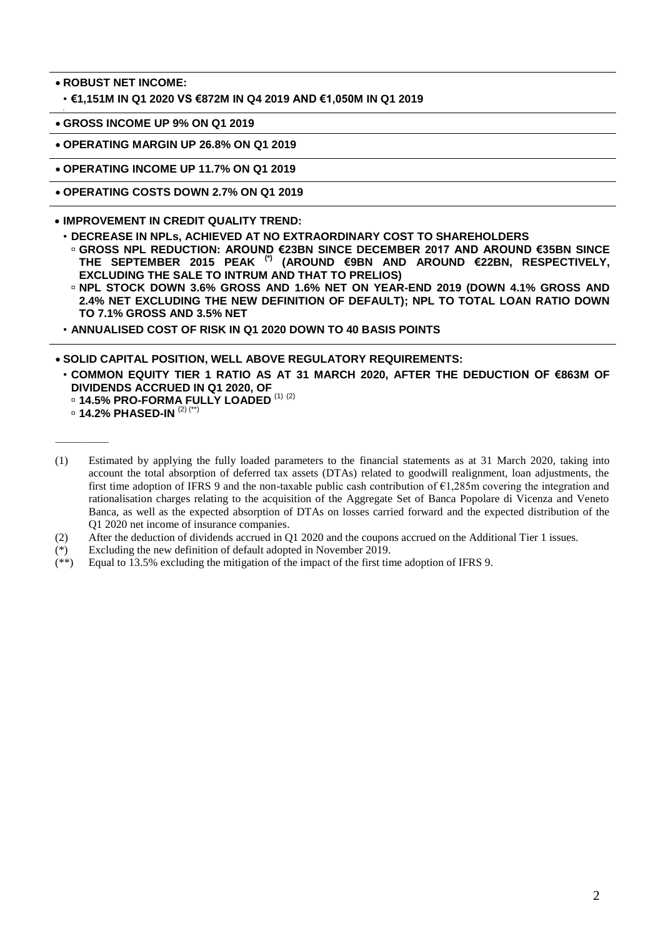**ROBUST NET INCOME:**

•

• **€1,151M IN Q1 2020 VS €872M IN Q4 2019 AND €1,050M IN Q1 2019**

**GROSS INCOME UP 9% ON Q1 2019**

**OPERATING MARGIN UP 26.8% ON Q1 2019**

**OPERATING INCOME UP 11.7% ON Q1 2019**

**OPERATING COSTS DOWN 2.7% ON Q1 2019**

**IMPROVEMENT IN CREDIT QUALITY TREND:**

- **DECREASE IN NPLs, ACHIEVED AT NO EXTRAORDINARY COST TO SHAREHOLDERS**
- **GROSS NPL REDUCTION: AROUND €23BN SINCE DECEMBER 2017 AND AROUND €35BN SINCE THE SEPTEMBER 2015 PEAK (\*) (AROUND €9BN AND AROUND €22BN, RESPECTIVELY, EXCLUDING THE SALE TO INTRUM AND THAT TO PRELIOS)**
- **NPL STOCK DOWN 3.6% GROSS AND 1.6% NET ON YEAR-END 2019 (DOWN 4.1% GROSS AND 2.4% NET EXCLUDING THE NEW DEFINITION OF DEFAULT); NPL TO TOTAL LOAN RATIO DOWN TO 7.1% GROSS AND 3.5% NET**
- **ANNUALISED COST OF RISK IN Q1 2020 DOWN TO 40 BASIS POINTS**

**SOLID CAPITAL POSITION, WELL ABOVE REGULATORY REQUIREMENTS:**

• **COMMON EQUITY TIER 1 RATIO AS AT 31 MARCH 2020, AFTER THE DEDUCTION OF €863M OF DIVIDENDS ACCRUED IN Q1 2020, OF**

**14.5% PRO-FORMA FULLY LOADED** (1) (2)

 $\overline{\phantom{a}}$ 

- (2) After the deduction of dividends accrued in Q1 2020 and the coupons accrued on the Additional Tier 1 issues.
- (\*) Excluding the new definition of default adopted in November 2019*.*
- (\*\*) Equal to 13.5% excluding the mitigation of the impact of the first time adoption of IFRS 9.

**14.2% PHASED-IN** (2) (\*\*)

<sup>(1)</sup> Estimated by applying the fully loaded parameters to the financial statements as at 31 March 2020, taking into account the total absorption of deferred tax assets (DTAs) related to goodwill realignment, loan adjustments, the first time adoption of IFRS 9 and the non-taxable public cash contribution of  $\epsilon$ 1,285m covering the integration and rationalisation charges relating to the acquisition of the Aggregate Set of Banca Popolare di Vicenza and Veneto Banca, as well as the expected absorption of DTAs on losses carried forward and the expected distribution of the Q1 2020 net income of insurance companies.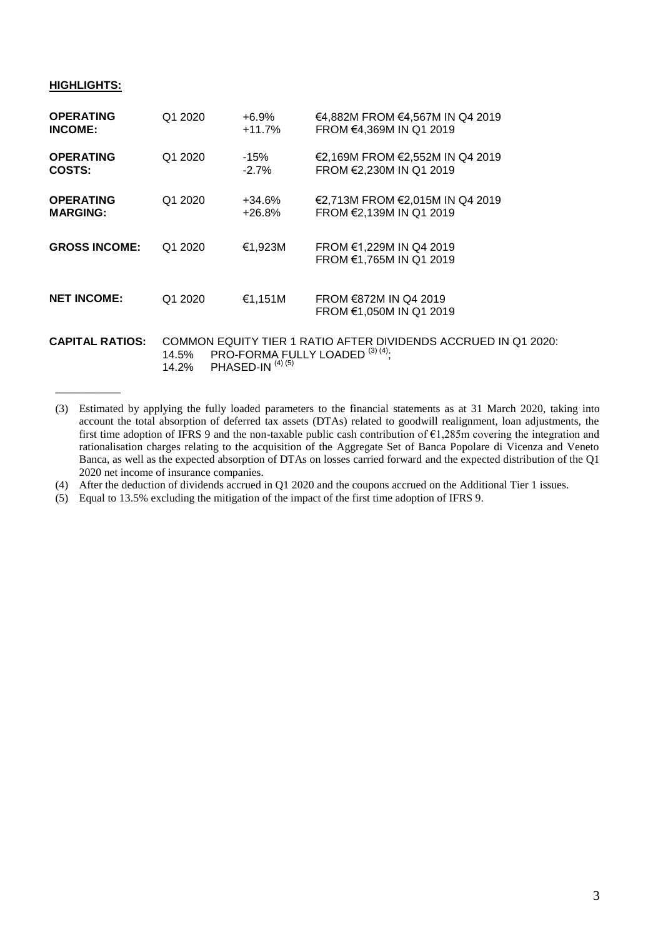#### **HIGHLIGHTS:**

\_\_\_\_\_\_\_\_\_

| <b>OPERATING</b>       | Q1 2020        | $+6.9%$                     | €4,882M FROM €4,567M IN Q4 2019                                                                   |
|------------------------|----------------|-----------------------------|---------------------------------------------------------------------------------------------------|
| <b>INCOME:</b>         |                | $+11.7%$                    | FROM €4,369M IN Q1 2019                                                                           |
| <b>OPERATING</b>       | Q1 2020        | -15%                        | €2,169M FROM €2,552M IN Q4 2019                                                                   |
| COSTS:                 |                | $-2.7\%$                    | FROM €2,230M IN Q1 2019                                                                           |
| <b>OPERATING</b>       | Q1 2020        | +34.6%                      | €2,713M FROM €2,015M IN Q4 2019                                                                   |
| <b>MARGING:</b>        |                | $+26.8%$                    | FROM €2,139M IN Q1 2019                                                                           |
| <b>GROSS INCOME:</b>   | Q1 2020        | €1,923M                     | FROM €1,229M IN Q4 2019<br>FROM €1,765M IN Q1 2019                                                |
| <b>NET INCOME:</b>     | Q1 2020        | €1,151M                     | FROM $\epsilon$ 872M IN Q4 2019<br>FROM €1,050M IN Q1 2019                                        |
| <b>CAPITAL RATIOS:</b> | 14.5%<br>14.2% | PHASED-IN <sup>(4)(5)</sup> | COMMON EQUITY TIER 1 RATIO AFTER DIVIDENDS ACCRUED IN Q1 2020:<br>PRO-FORMA FULLY LOADED (3) (4): |

<sup>(3)</sup> Estimated by applying the fully loaded parameters to the financial statements as at 31 March 2020, taking into account the total absorption of deferred tax assets (DTAs) related to goodwill realignment, loan adjustments, the first time adoption of IFRS 9 and the non-taxable public cash contribution of  $\epsilon$ 1,285m covering the integration and rationalisation charges relating to the acquisition of the Aggregate Set of Banca Popolare di Vicenza and Veneto Banca, as well as the expected absorption of DTAs on losses carried forward and the expected distribution of the Q1 2020 net income of insurance companies.

(4) After the deduction of dividends accrued in Q1 2020 and the coupons accrued on the Additional Tier 1 issues.

(5) Equal to 13.5% excluding the mitigation of the impact of the first time adoption of IFRS 9.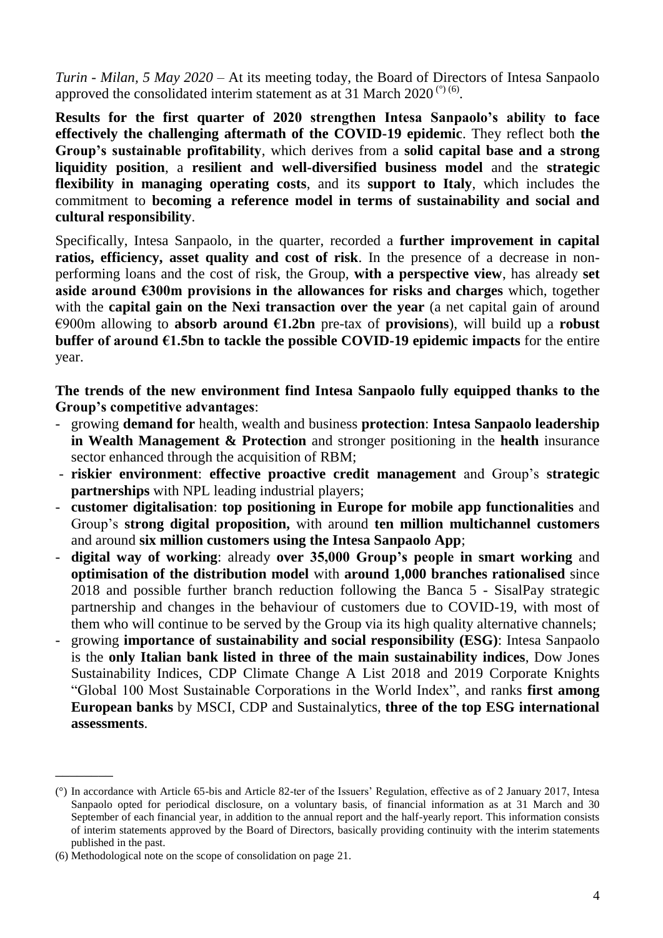*Turin - Milan, 5 May 2020* – At its meeting today, the Board of Directors of Intesa Sanpaolo approved the consolidated interim statement as at 31 March 2020<sup>(°) (6)</sup>.

**Results for the first quarter of 2020 strengthen Intesa Sanpaolo's ability to face effectively the challenging aftermath of the COVID-19 epidemic**. They reflect both **the Group's sustainable profitability**, which derives from a **solid capital base and a strong liquidity position**, a **resilient and well-diversified business model** and the **strategic flexibility in managing operating costs**, and its **support to Italy**, which includes the commitment to **becoming a reference model in terms of sustainability and social and cultural responsibility**.

Specifically, Intesa Sanpaolo, in the quarter, recorded a **further improvement in capital ratios, efficiency, asset quality and cost of risk**. In the presence of a decrease in nonperforming loans and the cost of risk, the Group, **with a perspective view**, has already **set aside around €300m provisions in the allowances for risks and charges** which, together with the **capital gain on the Nexi transaction over the year** (a net capital gain of around €900m allowing to **absorb around €1.2bn** pre-tax of **provisions**), will build up a **robust buffer of around €1.5bn to tackle the possible COVID-19 epidemic impacts** for the entire year.

**The trends of the new environment find Intesa Sanpaolo fully equipped thanks to the Group's competitive advantages**:

- growing **demand for** health, wealth and business **protection**: **Intesa Sanpaolo leadership in Wealth Management & Protection** and stronger positioning in the **health** insurance sector enhanced through the acquisition of RBM;
- **riskier environment**: **effective proactive credit management** and Group's **strategic partnerships** with NPL leading industrial players;
- **customer digitalisation**: **top positioning in Europe for mobile app functionalities** and Group's **strong digital proposition,** with around **ten million multichannel customers** and around **six million customers using the Intesa Sanpaolo App**;
- **digital way of working**: already **over 35,000 Group's people in smart working** and **optimisation of the distribution model** with **around 1,000 branches rationalised** since 2018 and possible further branch reduction following the Banca 5 - SisalPay strategic partnership and changes in the behaviour of customers due to COVID-19, with most of them who will continue to be served by the Group via its high quality alternative channels;
- growing **importance of sustainability and social responsibility (ESG)**: Intesa Sanpaolo is the **only Italian bank listed in three of the main sustainability indices**, Dow Jones Sustainability Indices, CDP Climate Change A List 2018 and 2019 Corporate Knights "Global 100 Most Sustainable Corporations in the World Index", and ranks **first among European banks** by MSCI, CDP and Sustainalytics, **three of the top ESG international assessments**.

\_\_\_\_\_\_\_\_

<sup>(°)</sup> In accordance with Article 65-bis and Article 82-ter of the Issuers' Regulation, effective as of 2 January 2017, Intesa Sanpaolo opted for periodical disclosure, on a voluntary basis, of financial information as at 31 March and 30 September of each financial year, in addition to the annual report and the half-yearly report. This information consists of interim statements approved by the Board of Directors, basically providing continuity with the interim statements published in the past.

<sup>(6)</sup> Methodological note on the scope of consolidation on page 21.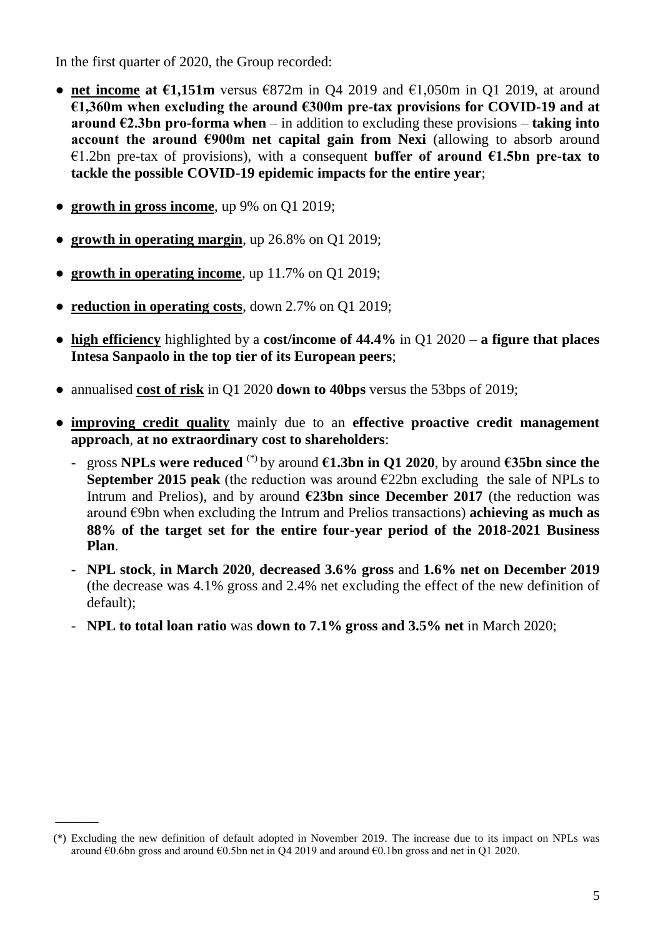In the first quarter of 2020, the Group recorded:

- **● net income at €1,151m** versus €872m in Q4 2019 and €1,050m in Q1 2019, at around **€1,360m when excluding the around €300m pre-tax provisions for COVID-19 and at around**  $€2.3$ **bn pro-forma when** – in addition to excluding these provisions – **taking into account the around €900m net capital gain from Nexi** (allowing to absorb around €1.2bn pre-tax of provisions), with a consequent **buffer of around €1.5bn pre-tax to tackle the possible COVID-19 epidemic impacts for the entire year**;
- **● growth in gross income**, up 9% on Q1 2019;

 $\overline{\phantom{a}}$ 

- **● growth in operating margin**, up 26.8% on Q1 2019;
- **● growth in operating income**, up 11.7% on Q1 2019;
- **● reduction in operating costs**, down 2.7% on Q1 2019;
- **● high efficiency** highlighted by a **cost/income of 44.4%** in Q1 2020 **a figure that places Intesa Sanpaolo in the top tier of its European peers**;
- **●** annualised **cost of risk** in Q1 2020 **down to 40bps** versus the 53bps of 2019;
- **● improving credit quality** mainly due to an **effective proactive credit management approach**, **at no extraordinary cost to shareholders**:
	- gross **NPLs were reduced** (\*) by around **€1.3bn in Q1 2020**, by around **€35bn since the September 2015 peak** (the reduction was around  $\epsilon$ 22bn excluding the sale of NPLs to Intrum and Prelios), and by around  $\epsilon$ 23bn since December 2017 (the reduction was around €9bn when excluding the Intrum and Prelios transactions) **achieving as much as 88% of the target set for the entire four-year period of the 2018-2021 Business Plan**.
	- **NPL stock**, **in March 2020**, **decreased 3.6% gross** and **1.6% net on December 2019** (the decrease was 4.1% gross and 2.4% net excluding the effect of the new definition of default);
	- **NPL to total loan ratio** was **down to 7.1% gross and 3.5% net** in March 2020;

<sup>(\*)</sup> Excluding the new definition of default adopted in November 2019*.* The increase due to its impact on NPLs was around  $\epsilon$ 0.6bn gross and around  $\epsilon$ 0.5bn net in Q4 2019 and around  $\epsilon$ 0.1bn gross and net in Q1 2020.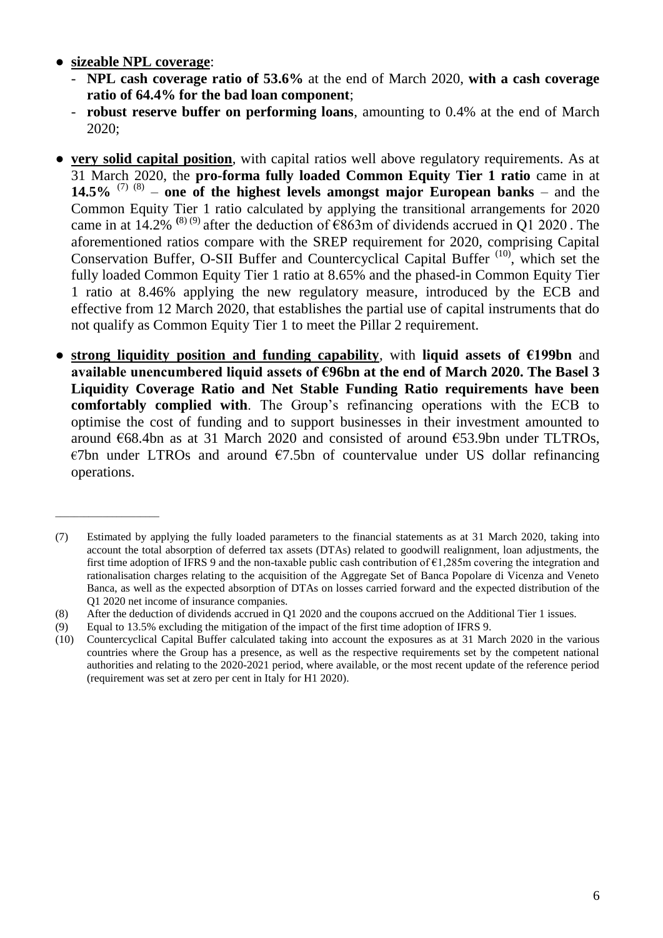**● sizeable NPL coverage**:

\_\_\_\_\_\_\_\_\_\_\_\_\_\_\_\_\_\_\_\_\_\_

- **NPL cash coverage ratio of 53.6%** at the end of March 2020, **with a cash coverage ratio of 64.4% for the bad loan component**;
- **robust reserve buffer on performing loans**, amounting to 0.4% at the end of March 2020;
- **very solid capital position**, with capital ratios well above regulatory requirements. As at 31 March 2020, the **pro-forma fully loaded Common Equity Tier 1 ratio** came in at **14.5%** <sup>(7) (8)</sup> – one of the highest levels amongst major European banks – and the Common Equity Tier 1 ratio calculated by applying the transitional arrangements for 2020 came in at  $14.2\%$  <sup>(8) (9)</sup> after the deduction of  $\epsilon$ 863m of dividends accrued in Q1 2020. The aforementioned ratios compare with the SREP requirement for 2020, comprising Capital Conservation Buffer, O-SII Buffer and Countercyclical Capital Buffer  $(10)$ , which set the fully loaded Common Equity Tier 1 ratio at 8.65% and the phased-in Common Equity Tier 1 ratio at 8.46% applying the new regulatory measure, introduced by the ECB and effective from 12 March 2020, that establishes the partial use of capital instruments that do not qualify as Common Equity Tier 1 to meet the Pillar 2 requirement.
- **strong liquidity position and funding capability, with liquid assets of**  $\epsilon$ **199bn and available unencumbered liquid assets of €96bn at the end of March 2020. The Basel 3 Liquidity Coverage Ratio and Net Stable Funding Ratio requirements have been comfortably complied with**. The Group's refinancing operations with the ECB to optimise the cost of funding and to support businesses in their investment amounted to around €68.4bn as at 31 March 2020 and consisted of around €53.9bn under TLTROs,  $\epsilon$ 7bn under LTROs and around  $\epsilon$ 7.5bn of countervalue under US dollar refinancing operations.

<sup>(7)</sup> Estimated by applying the fully loaded parameters to the financial statements as at 31 March 2020, taking into account the total absorption of deferred tax assets (DTAs) related to goodwill realignment, loan adjustments, the first time adoption of IFRS 9 and the non-taxable public cash contribution of  $\epsilon$ 1,285m covering the integration and rationalisation charges relating to the acquisition of the Aggregate Set of Banca Popolare di Vicenza and Veneto Banca, as well as the expected absorption of DTAs on losses carried forward and the expected distribution of the Q1 2020 net income of insurance companies.

<sup>(8)</sup> After the deduction of dividends accrued in Q1 2020 and the coupons accrued on the Additional Tier 1 issues.

<sup>(9)</sup> Equal to 13.5% excluding the mitigation of the impact of the first time adoption of IFRS 9.

<sup>(10)</sup> Countercyclical Capital Buffer calculated taking into account the exposures as at 31 March 2020 in the various countries where the Group has a presence, as well as the respective requirements set by the competent national authorities and relating to the 2020-2021 period, where available, or the most recent update of the reference period (requirement was set at zero per cent in Italy for H1 2020).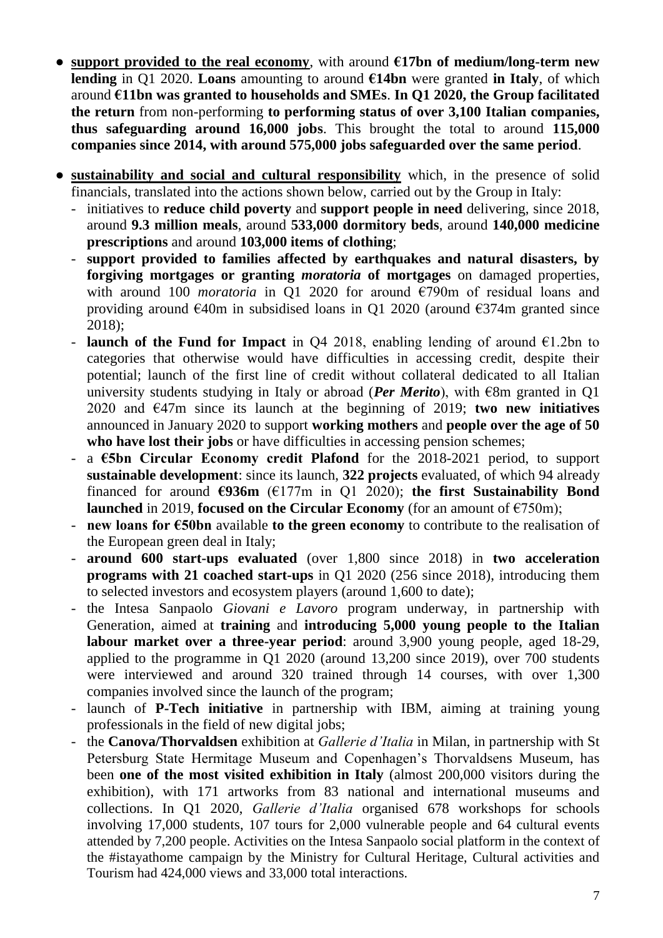- **support provided to the real economy,** with around  $\epsilon$ 17bn of medium/long-term new **lending** in Q1 2020. **Loans** amounting to around **€14bn** were granted **in Italy**, of which around **€11bn was granted to households and SMEs**. **In Q1 2020, the Group facilitated the return** from non-performing **to performing status of over 3,100 Italian companies, thus safeguarding around 16,000 jobs**. This brought the total to around **115,000 companies since 2014, with around 575,000 jobs safeguarded over the same period**.
- **● sustainability and social and cultural responsibility** which, in the presence of solid financials, translated into the actions shown below, carried out by the Group in Italy:
	- initiatives to **reduce child poverty** and **support people in need** delivering, since 2018, around **9.3 million meals**, around **533,000 dormitory beds**, around **140,000 medicine prescriptions** and around **103,000 items of clothing**;
	- **support provided to families affected by earthquakes and natural disasters, by forgiving mortgages or granting** *moratoria* **of mortgages** on damaged properties, with around 100 *moratoria* in Q1 2020 for around €790m of residual loans and providing around  $\epsilon$ 40m in subsidised loans in Q1 2020 (around  $\epsilon$ 374m granted since 2018);
	- **launch of the Fund for Impact** in Q4 2018, enabling lending of around  $\epsilon$ 1.2bn to categories that otherwise would have difficulties in accessing credit, despite their potential; launch of the first line of credit without collateral dedicated to all Italian university students studying in Italy or abroad (*Per Merito*), with  $\epsilon$ 8m granted in Q1 2020 and €47m since its launch at the beginning of 2019; **two new initiatives** announced in January 2020 to support **working mothers** and **people over the age of 50**  who have lost their jobs or have difficulties in accessing pension schemes;
	- a **€5bn Circular Economy credit Plafond** for the 2018-2021 period, to support **sustainable development**: since its launch, **322 projects** evaluated, of which 94 already financed for around  $\epsilon$ 936m ( $\epsilon$ 177m in Q1 2020); the first Sustainability Bond **launched** in 2019, **focused on the Circular Economy** (for an amount of  $E750m$ );
	- **new loans for €50bn** available **to the green economy** to contribute to the realisation of the European green deal in Italy;
	- **around 600 start-ups evaluated** (over 1,800 since 2018) in **two acceleration programs with 21 coached start-ups** in Q1 2020 (256 since 2018), introducing them to selected investors and ecosystem players (around 1,600 to date);
	- the Intesa Sanpaolo *Giovani e Lavoro* program underway, in partnership with Generation, aimed at **training** and **introducing 5,000 young people to the Italian labour market over a three-year period**: around 3,900 young people, aged 18-29, applied to the programme in Q1 2020 (around 13,200 since 2019), over 700 students were interviewed and around 320 trained through 14 courses, with over 1,300 companies involved since the launch of the program;
	- launch of **P-Tech initiative** in partnership with IBM, aiming at training young professionals in the field of new digital jobs;
	- the **Canova/Thorvaldsen** exhibition at *Gallerie d'Italia* in Milan, in partnership with St Petersburg State Hermitage Museum and Copenhagen's Thorvaldsens Museum, has been **one of the most visited exhibition in Italy** (almost 200,000 visitors during the exhibition), with 171 artworks from 83 national and international museums and collections. In Q1 2020, *Gallerie d'Italia* organised 678 workshops for schools involving 17,000 students, 107 tours for 2,000 vulnerable people and 64 cultural events attended by 7,200 people. Activities on the Intesa Sanpaolo social platform in the context of the #istayathome campaign by the Ministry for Cultural Heritage, Cultural activities and Tourism had 424,000 views and 33,000 total interactions.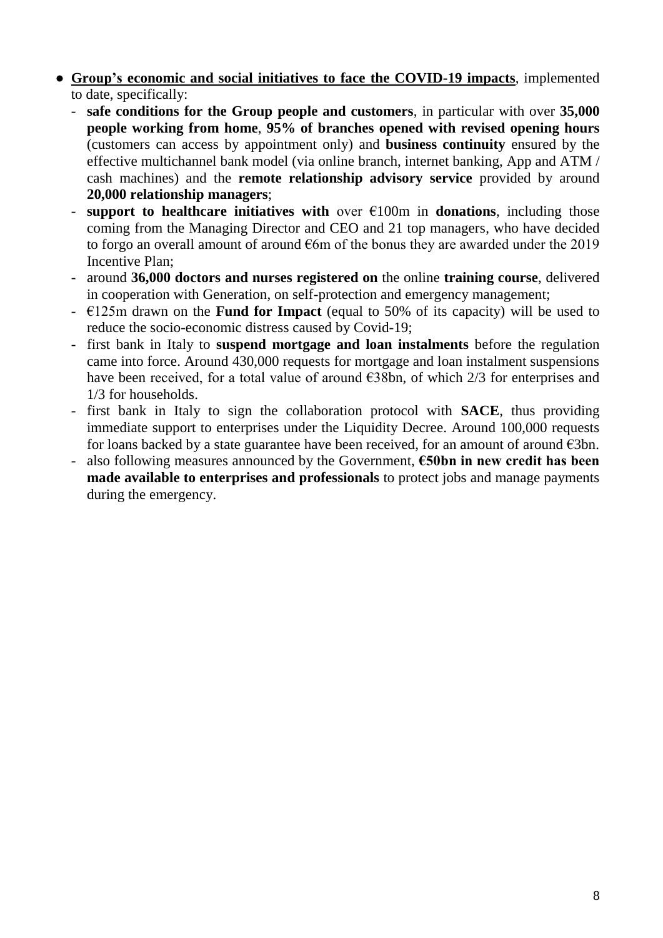- **Group's economic and social initiatives to face the COVID-19 impacts**, implemented to date, specifically:
	- **safe conditions for the Group people and customers**, in particular with over **35,000 people working from home**, **95% of branches opened with revised opening hours** (customers can access by appointment only) and **business continuity** ensured by the effective multichannel bank model (via online branch, internet banking, App and ATM / cash machines) and the **remote relationship advisory service** provided by around **20,000 relationship managers**;
	- **support to healthcare initiatives with** over  $\epsilon$ 100m in **donations**, including those coming from the Managing Director and CEO and 21 top managers, who have decided to forgo an overall amount of around  $\epsilon$ 6m of the bonus they are awarded under the 2019 Incentive Plan;
	- around **36,000 doctors and nurses registered on** the online **training course**, delivered in cooperation with Generation, on self-protection and emergency management;
	- $\leq$   $\leq$  125m drawn on the **Fund for Impact** (equal to 50% of its capacity) will be used to reduce the socio-economic distress caused by Covid-19;
	- first bank in Italy to **suspend mortgage and loan instalments** before the regulation came into force. Around 430,000 requests for mortgage and loan instalment suspensions have been received, for a total value of around  $\epsilon$ 38bn, of which 2/3 for enterprises and 1/3 for households.
	- first bank in Italy to sign the collaboration protocol with **SACE**, thus providing immediate support to enterprises under the Liquidity Decree. Around 100,000 requests for loans backed by a state guarantee have been received, for an amount of around  $\epsilon$ 3bn.
	- also following measures announced by the Government, **€50bn in new credit has been made available to enterprises and professionals** to protect jobs and manage payments during the emergency.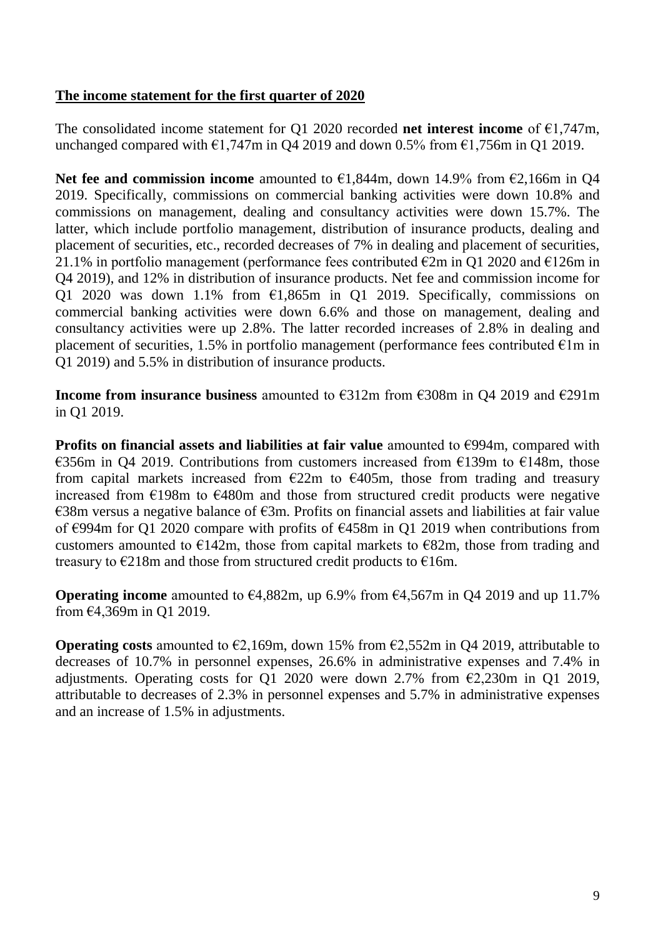### **The income statement for the first quarter of 2020**

The consolidated income statement for Q1 2020 recorded **net interest income** of €1,747m, unchanged compared with  $\epsilon$ 1,747m in Q4 2019 and down 0.5% from  $\epsilon$ 1,756m in Q1 2019.

**Net fee and commission income** amounted to €1,844m, down 14.9% from €2,166m in Q4 2019. Specifically, commissions on commercial banking activities were down 10.8% and commissions on management, dealing and consultancy activities were down 15.7%. The latter, which include portfolio management, distribution of insurance products, dealing and placement of securities, etc., recorded decreases of 7% in dealing and placement of securities, 21.1% in portfolio management (performance fees contributed  $\epsilon$ 2m in O1 2020 and  $\epsilon$ 126m in Q4 2019), and 12% in distribution of insurance products. Net fee and commission income for Q1 2020 was down 1.1% from  $\epsilon$ 1,865m in Q1 2019. Specifically, commissions on commercial banking activities were down 6.6% and those on management, dealing and consultancy activities were up 2.8%. The latter recorded increases of 2.8% in dealing and placement of securities, 1.5% in portfolio management (performance fees contributed  $\epsilon$ 1m in Q1 2019) and 5.5% in distribution of insurance products.

**Income from insurance business** amounted to €312m from €308m in Q4 2019 and €291m in Q1 2019.

**Profits on financial assets and liabilities at fair value** amounted to €994m, compared with €356m in Q4 2019. Contributions from customers increased from €139m to €148m, those from capital markets increased from  $E22m$  to  $E405m$ , those from trading and treasury increased from  $E198m$  to  $E480m$  and those from structured credit products were negative  $\epsilon$ 38m versus a negative balance of  $\epsilon$ 3m. Profits on financial assets and liabilities at fair value of €994m for Q1 2020 compare with profits of €458m in Q1 2019 when contributions from customers amounted to  $\epsilon$ 142m, those from capital markets to  $\epsilon$ 82m, those from trading and treasury to  $\epsilon$ 218m and those from structured credit products to  $\epsilon$ 16m.

**Operating income** amounted to  $\epsilon$ 4,882m, up 6.9% from  $\epsilon$ 4,567m in Q4 2019 and up 11.7% from €4,369m in Q1 2019.

**Operating costs** amounted to  $\epsilon$ 2,169m, down 15% from  $\epsilon$ 2,552m in Q4 2019, attributable to decreases of 10.7% in personnel expenses, 26.6% in administrative expenses and 7.4% in adjustments. Operating costs for Q1 2020 were down 2.7% from  $\epsilon$ 2,230m in Q1 2019, attributable to decreases of 2.3% in personnel expenses and 5.7% in administrative expenses and an increase of 1.5% in adjustments.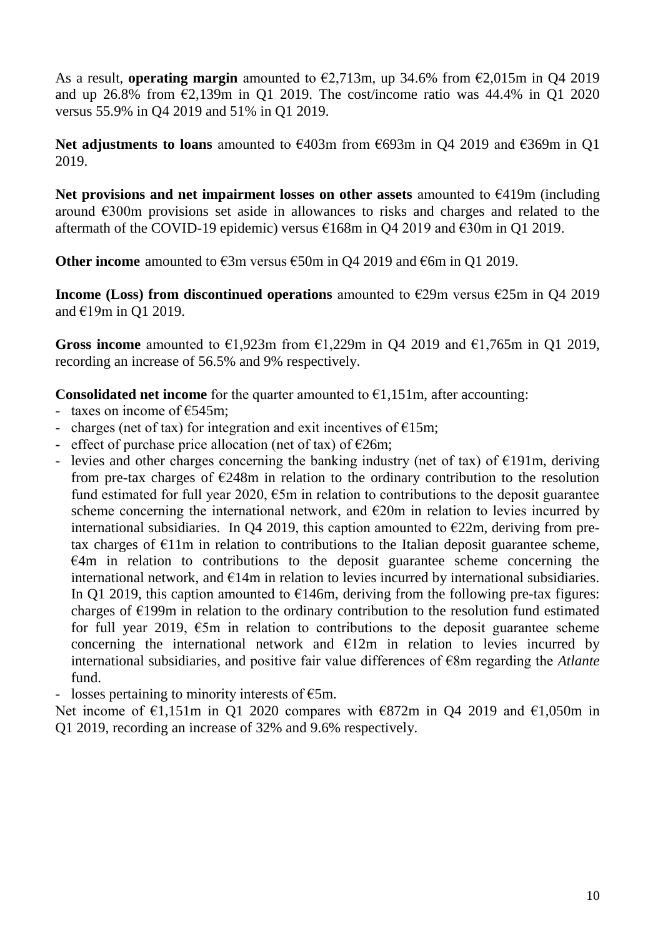As a result, **operating margin** amounted to €2,713m, up 34.6% from €2,015m in Q4 2019 and up 26.8% from  $\epsilon$ 2,139m in Q1 2019. The cost/income ratio was 44.4% in Q1 2020 versus 55.9% in Q4 2019 and 51% in Q1 2019.

**Net adjustments to loans** amounted to €403m from €693m in Q4 2019 and €369m in Q1 2019.

**Net provisions and net impairment losses on other assets** amounted to €419m (including around €300m provisions set aside in allowances to risks and charges and related to the aftermath of the COVID-19 epidemic) versus  $\epsilon$ 168m in Q4 2019 and  $\epsilon$ 30m in Q1 2019.

**Other income** amounted to €3m versus €50m in Q4 2019 and €6m in Q1 2019.

**Income (Loss) from discontinued operations** amounted to €29m versus €25m in Q4 2019 and €19m in Q1 2019.

Gross income amounted to  $\epsilon$ 1,923m from  $\epsilon$ 1,229m in Q4 2019 and  $\epsilon$ 1,765m in Q1 2019, recording an increase of 56.5% and 9% respectively.

**Consolidated net income** for the quarter amounted to  $\epsilon$ 1,151m, after accounting:

- taxes on income of  $\epsilon$ 545m;
- charges (net of tax) for integration and exit incentives of  $E15m$ ;
- effect of purchase price allocation (net of tax) of  $\epsilon$ 26m;
- levies and other charges concerning the banking industry (net of tax) of  $\epsilon$ 191m, deriving from pre-tax charges of  $E248m$  in relation to the ordinary contribution to the resolution fund estimated for full year 2020,  $\epsilon$ 5m in relation to contributions to the deposit guarantee scheme concerning the international network, and  $E20m$  in relation to levies incurred by international subsidiaries. In Q4 2019, this caption amounted to  $E22m$ , deriving from pretax charges of  $E11m$  in relation to contributions to the Italian deposit guarantee scheme,  $E4m$  in relation to contributions to the deposit guarantee scheme concerning the international network, and  $E14m$  in relation to levies incurred by international subsidiaries. In Q1 2019, this caption amounted to  $E146m$ , deriving from the following pre-tax figures: charges of  $E199m$  in relation to the ordinary contribution to the resolution fund estimated for full year 2019,  $\epsilon$ 5m in relation to contributions to the deposit guarantee scheme concerning the international network and  $E12m$  in relation to levies incurred by international subsidiaries, and positive fair value differences of €8m regarding the *Atlante* fund.
- losses pertaining to minority interests of  $\epsilon$ 5m.

Net income of  $\epsilon$ 1,151m in Q1 2020 compares with  $\epsilon$ 872m in Q4 2019 and  $\epsilon$ 1,050m in Q1 2019, recording an increase of 32% and 9.6% respectively.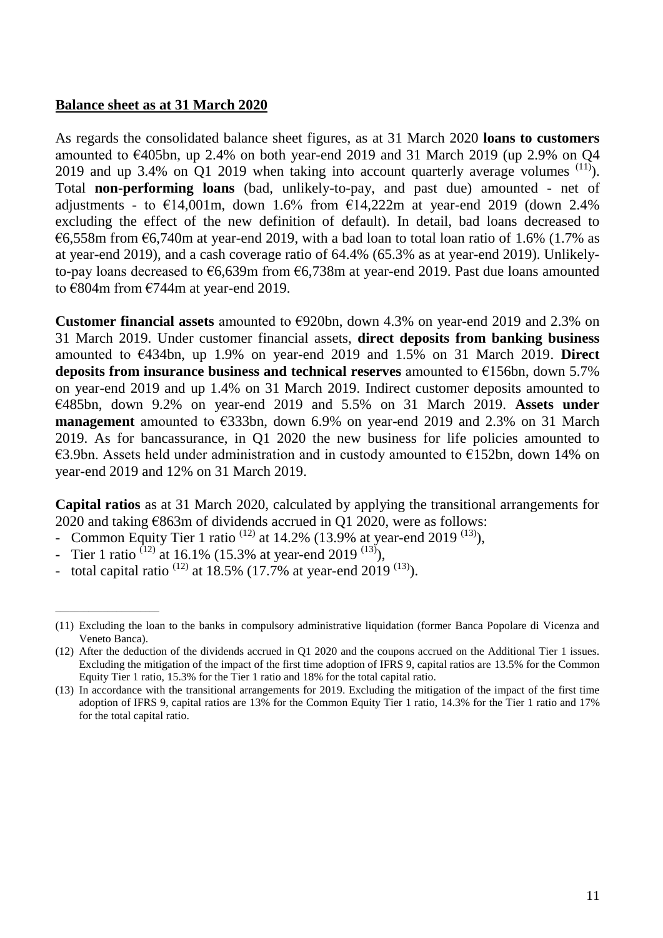#### **Balance sheet as at 31 March 2020**

As regards the consolidated balance sheet figures, as at 31 March 2020 **loans to customers**  amounted to  $\epsilon$ 405bn, up 2.4% on both year-end 2019 and 31 March 2019 (up 2.9% on O4 2019 and up 3.4% on O1 2019 when taking into account quarterly average volumes  $^{(11)}$ ). Total **non-performing loans** (bad, unlikely-to-pay, and past due) amounted - net of adjustments - to  $\epsilon$ 14,001m, down 1.6% from  $\epsilon$ 14,222m at year-end 2019 (down 2.4% excluding the effect of the new definition of default). In detail, bad loans decreased to €6,558m from  $€6,740m$  at year-end 2019, with a bad loan to total loan ratio of 1.6% (1.7% as at year-end 2019), and a cash coverage ratio of 64.4% (65.3% as at year-end 2019). Unlikelyto-pay loans decreased to  $66,639$ m from  $66,738$ m at year-end 2019. Past due loans amounted to €804m from €744m at year-end 2019.

**Customer financial assets** amounted to €920bn, down 4.3% on year-end 2019 and 2.3% on 31 March 2019. Under customer financial assets, **direct deposits from banking business** amounted to €434bn, up 1.9% on year-end 2019 and 1.5% on 31 March 2019. **Direct deposits from insurance business and technical reserves** amounted to €156bn, down 5.7% on year-end 2019 and up 1.4% on 31 March 2019. Indirect customer deposits amounted to €485bn, down 9.2% on year-end 2019 and 5.5% on 31 March 2019. **Assets under management** amounted to €333bn, down 6.9% on year-end 2019 and 2.3% on 31 March 2019. As for bancassurance, in Q1 2020 the new business for life policies amounted to €3.9bn. Assets held under administration and in custody amounted to €152bn, down 14% on year-end 2019 and 12% on 31 March 2019.

**Capital ratios** as at 31 March 2020, calculated by applying the transitional arrangements for 2020 and taking  $\epsilon$ 863m of dividends accrued in Q1 2020, were as follows:

- Common Equity Tier 1 ratio  $^{(12)}$  at 14.2% (13.9% at year-end 2019  $^{(13)}$ ),
- Tier 1 ratio <sup>(12)</sup> at 16.1% (15.3% at year-end 2019<sup>(13)</sup>),

\_\_\_\_\_\_\_\_\_\_\_\_\_\_\_\_\_\_\_\_\_\_

total capital ratio  $^{(12)}$  at 18.5% (17.7% at year-end 2019  $^{(13)}$ ).

<sup>(11)</sup> Excluding the loan to the banks in compulsory administrative liquidation (former Banca Popolare di Vicenza and Veneto Banca).

<sup>(12)</sup> After the deduction of the dividends accrued in Q1 2020 and the coupons accrued on the Additional Tier 1 issues. Excluding the mitigation of the impact of the first time adoption of IFRS 9, capital ratios are 13.5% for the Common Equity Tier 1 ratio, 15.3% for the Tier 1 ratio and 18% for the total capital ratio.

<sup>(13)</sup> In accordance with the transitional arrangements for 2019. Excluding the mitigation of the impact of the first time adoption of IFRS 9, capital ratios are 13% for the Common Equity Tier 1 ratio, 14.3% for the Tier 1 ratio and 17% for the total capital ratio.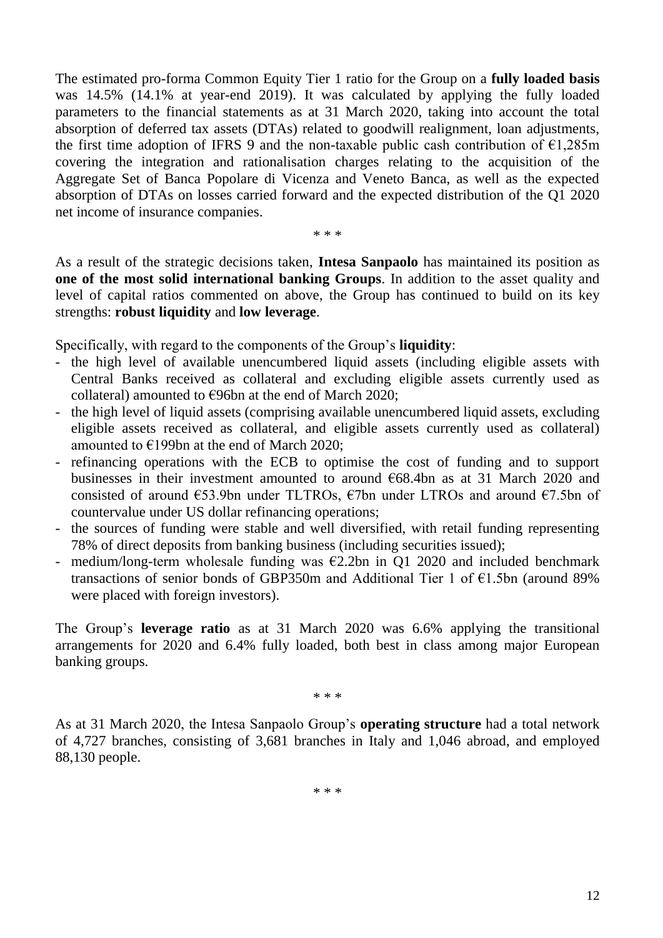The estimated pro-forma Common Equity Tier 1 ratio for the Group on a **fully loaded basis**  was 14.5% (14.1% at year-end 2019). It was calculated by applying the fully loaded parameters to the financial statements as at 31 March 2020, taking into account the total absorption of deferred tax assets (DTAs) related to goodwill realignment, loan adjustments, the first time adoption of IFRS 9 and the non-taxable public cash contribution of  $\epsilon$ 1,285m covering the integration and rationalisation charges relating to the acquisition of the Aggregate Set of Banca Popolare di Vicenza and Veneto Banca, as well as the expected absorption of DTAs on losses carried forward and the expected distribution of the Q1 2020 net income of insurance companies.

\* \* \*

As a result of the strategic decisions taken, **Intesa Sanpaolo** has maintained its position as **one of the most solid international banking Groups**. In addition to the asset quality and level of capital ratios commented on above, the Group has continued to build on its key strengths: **robust liquidity** and **low leverage**.

Specifically, with regard to the components of the Group's **liquidity**:

- the high level of available unencumbered liquid assets (including eligible assets with Central Banks received as collateral and excluding eligible assets currently used as collateral) amounted to  $€96$ bn at the end of March 2020;
- the high level of liquid assets (comprising available unencumbered liquid assets, excluding eligible assets received as collateral, and eligible assets currently used as collateral) amounted to €199bn at the end of March 2020;
- refinancing operations with the ECB to optimise the cost of funding and to support businesses in their investment amounted to around €68.4bn as at 31 March 2020 and consisted of around  $\epsilon$ 53.9bn under TLTROs,  $\epsilon$ 7bn under LTROs and around  $\epsilon$ 7.5bn of countervalue under US dollar refinancing operations;
- the sources of funding were stable and well diversified, with retail funding representing 78% of direct deposits from banking business (including securities issued);
- medium/long-term wholesale funding was  $\epsilon$ 2.2bn in O1 2020 and included benchmark transactions of senior bonds of GBP350m and Additional Tier 1 of  $\epsilon$ 1.5bn (around 89% were placed with foreign investors).

The Group's **leverage ratio** as at 31 March 2020 was 6.6% applying the transitional arrangements for 2020 and 6.4% fully loaded, both best in class among major European banking groups.

\* \* \*

As at 31 March 2020, the Intesa Sanpaolo Group's **operating structure** had a total network of 4,727 branches, consisting of 3,681 branches in Italy and 1,046 abroad, and employed 88,130 people.

\* \* \*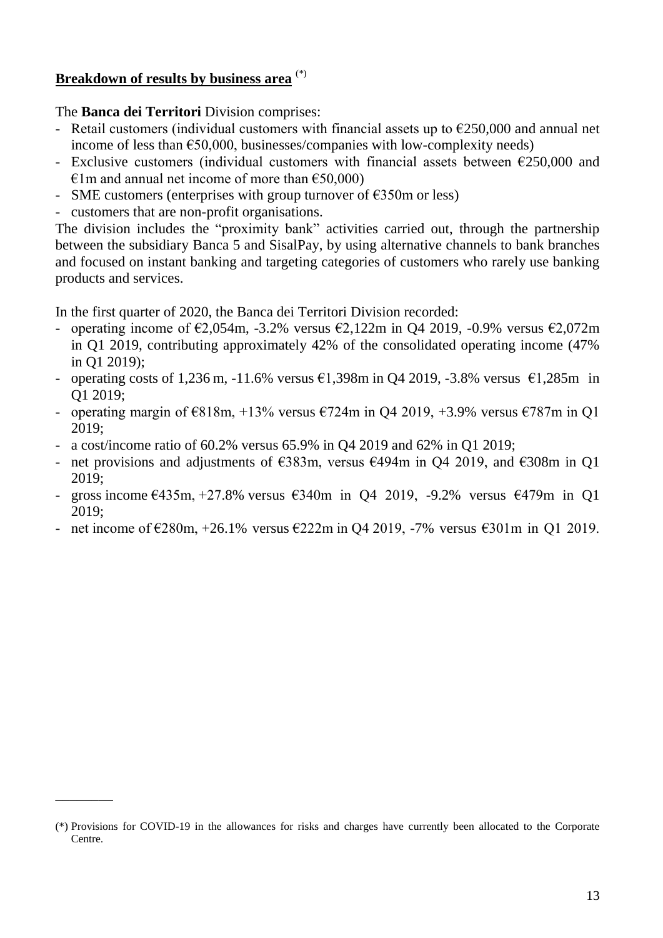### **Breakdown of results by business area** (\*)

#### The **Banca dei Territori** Division comprises:

- Retail customers (individual customers with financial assets up to  $\epsilon$ 250,000 and annual net income of less than  $\epsilon$ 50,000, businesses/companies with low-complexity needs)
- Exclusive customers (individual customers with financial assets between  $\epsilon$ 250,000 and  $\epsilon$ 1m and annual net income of more than  $\epsilon$ 50,000)
- SME customers (enterprises with group turnover of  $\epsilon$ 350m or less)
- customers that are non-profit organisations.

\_\_\_\_\_\_\_\_

The division includes the "proximity bank" activities carried out, through the partnership between the subsidiary Banca 5 and SisalPay, by using alternative channels to bank branches and focused on instant banking and targeting categories of customers who rarely use banking products and services.

In the first quarter of 2020, the Banca dei Territori Division recorded:

- operating income of  $\epsilon$ 2,054m, -3.2% versus  $\epsilon$ 2,122m in Q4 2019, -0.9% versus  $\epsilon$ 2,072m in Q1 2019, contributing approximately 42% of the consolidated operating income (47% in Q1 2019);
- operating costs of 1,236 m, -11.6% versus €1,398m in Q4 2019, -3.8% versus €1,285m in Q1 2019;
- operating margin of  $\epsilon$ 818m, +13% versus  $\epsilon$ 724m in Q4 2019, +3.9% versus  $\epsilon$ 787m in Q1 2019;
- a cost/income ratio of 60.2% versus 65.9% in Q4 2019 and 62% in Q1 2019;
- net provisions and adjustments of  $\epsilon$ 383m, versus  $\epsilon$ 494m in Q4 2019, and  $\epsilon$ 308m in Q1 2019;
- gross income  $\epsilon$ 435m, +27.8% versus  $\epsilon$ 340m in Q4 2019, -9.2% versus  $\epsilon$ 479m in Q1 2019;
- net income of €280m,  $+26.1\%$  versus €222m in Q4 2019, -7% versus €301m in Q1 2019.

<sup>(\*)</sup> Provisions for COVID-19 in the allowances for risks and charges have currently been allocated to the Corporate Centre.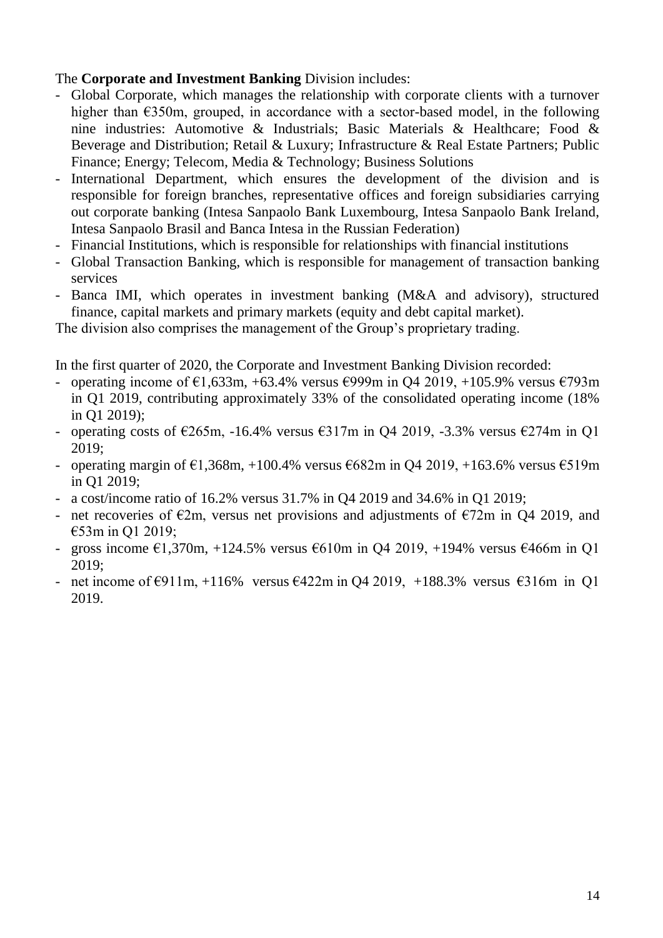### The **Corporate and Investment Banking** Division includes:

- Global Corporate, which manages the relationship with corporate clients with a turnover higher than  $\epsilon$ 350m, grouped, in accordance with a sector-based model, in the following nine industries: Automotive & Industrials; Basic Materials & Healthcare; Food & Beverage and Distribution; Retail & Luxury; Infrastructure & Real Estate Partners; Public Finance; Energy; Telecom, Media & Technology; Business Solutions
- International Department, which ensures the development of the division and is responsible for foreign branches, representative offices and foreign subsidiaries carrying out corporate banking (Intesa Sanpaolo Bank Luxembourg, Intesa Sanpaolo Bank Ireland, Intesa Sanpaolo Brasil and Banca Intesa in the Russian Federation)
- Financial Institutions, which is responsible for relationships with financial institutions
- Global Transaction Banking, which is responsible for management of transaction banking services
- Banca IMI, which operates in investment banking (M&A and advisory), structured finance, capital markets and primary markets (equity and debt capital market).

The division also comprises the management of the Group's proprietary trading.

In the first quarter of 2020, the Corporate and Investment Banking Division recorded:

- operating income of  $\epsilon$ 1,633m, +63.4% versus  $\epsilon$ 999m in Q4 2019, +105.9% versus  $\epsilon$ 793m in Q1 2019, contributing approximately 33% of the consolidated operating income (18% in Q1 2019);
- operating costs of  $\epsilon$ 265m, -16.4% versus  $\epsilon$ 317m in Q4 2019, -3.3% versus  $\epsilon$ 274m in Q1 2019;
- operating margin of  $\epsilon$ 1,368m, +100.4% versus  $\epsilon$ 682m in Q4 2019, +163.6% versus  $\epsilon$ 519m in Q1 2019;
- a cost/income ratio of 16.2% versus 31.7% in Q4 2019 and 34.6% in Q1 2019;
- net recoveries of  $\epsilon$ 2m, versus net provisions and adjustments of  $\epsilon$ 72m in Q4 2019, and €53m in Q1 2019;
- gross income €1,370m, +124.5% versus €610m in Q4 2019, +194% versus €466m in Q1 2019;
- net income of  $\epsilon$ 911m, +116% versus  $\epsilon$ 422m in Q4 2019, +188.3% versus  $\epsilon$ 316m in Q1 2019.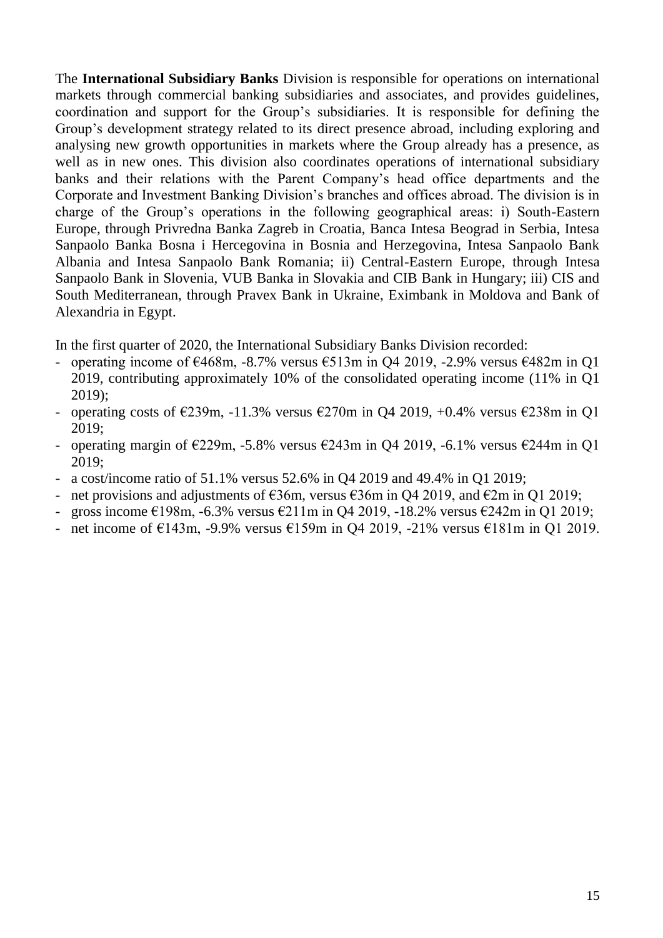The **International Subsidiary Banks** Division is responsible for operations on international markets through commercial banking subsidiaries and associates, and provides guidelines, coordination and support for the Group's subsidiaries. It is responsible for defining the Group's development strategy related to its direct presence abroad, including exploring and analysing new growth opportunities in markets where the Group already has a presence, as well as in new ones. This division also coordinates operations of international subsidiary banks and their relations with the Parent Company's head office departments and the Corporate and Investment Banking Division's branches and offices abroad. The division is in charge of the Group's operations in the following geographical areas: i) South-Eastern Europe, through Privredna Banka Zagreb in Croatia, Banca Intesa Beograd in Serbia, Intesa Sanpaolo Banka Bosna i Hercegovina in Bosnia and Herzegovina, Intesa Sanpaolo Bank Albania and Intesa Sanpaolo Bank Romania; ii) Central-Eastern Europe, through Intesa Sanpaolo Bank in Slovenia, VUB Banka in Slovakia and CIB Bank in Hungary; iii) CIS and South Mediterranean, through Pravex Bank in Ukraine, Eximbank in Moldova and Bank of Alexandria in Egypt.

In the first quarter of 2020, the International Subsidiary Banks Division recorded:

- operating income of  $\epsilon$ 468m, -8.7% versus  $\epsilon$ 513m in Q4 2019, -2.9% versus  $\epsilon$ 482m in Q1 2019, contributing approximately 10% of the consolidated operating income (11% in Q1 2019);
- operating costs of  $\epsilon$ 239m, -11.3% versus  $\epsilon$ 270m in Q4 2019, +0.4% versus  $\epsilon$ 238m in Q1 2019;
- operating margin of  $\epsilon$ 229m, -5.8% versus  $\epsilon$ 243m in Q4 2019, -6.1% versus  $\epsilon$ 244m in Q1 2019;
- a cost/income ratio of 51.1% versus 52.6% in Q4 2019 and 49.4% in Q1 2019;
- net provisions and adjustments of  $\epsilon$ 36m, versus  $\epsilon$ 36m in O4 2019, and  $\epsilon$ 2m in O1 2019;
- gross income €198m, -6.3% versus €211m in Q4 2019, -18.2% versus €242m in Q1 2019;
- net income of  $\epsilon$ 143m, -9.9% versus  $\epsilon$ 159m in Q4 2019, -21% versus  $\epsilon$ 181m in Q1 2019.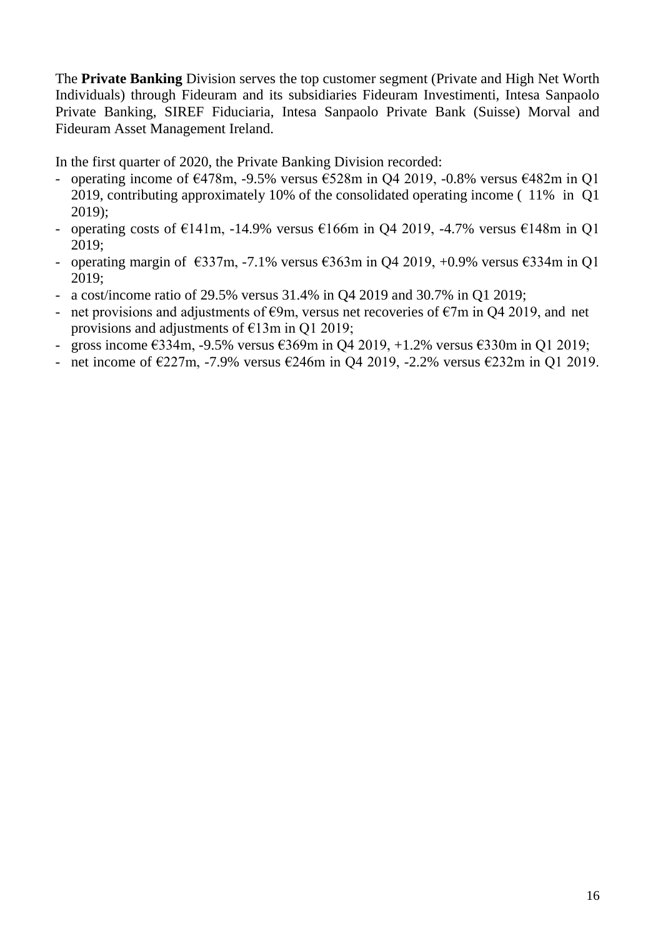The **Private Banking** Division serves the top customer segment (Private and High Net Worth Individuals) through Fideuram and its subsidiaries Fideuram Investimenti, Intesa Sanpaolo Private Banking, SIREF Fiduciaria, Intesa Sanpaolo Private Bank (Suisse) Morval and Fideuram Asset Management Ireland.

In the first quarter of 2020, the Private Banking Division recorded:

- operating income of  $\epsilon$ 478m, -9.5% versus  $\epsilon$ 528m in Q4 2019, -0.8% versus  $\epsilon$ 482m in Q1 2019, contributing approximately 10% of the consolidated operating income ( 11% in Q1 2019);
- operating costs of  $E141m$ , -14.9% versus  $E166m$  in Q4 2019, -4.7% versus  $E148m$  in Q1 2019;
- operating margin of  $\epsilon$ 337m, -7.1% versus  $\epsilon$ 363m in O4 2019, +0.9% versus  $\epsilon$ 334m in O1 2019;
- a cost/income ratio of 29.5% versus 31.4% in Q4 2019 and 30.7% in Q1 2019;
- net provisions and adjustments of  $\epsilon$ 9m, versus net recoveries of  $\epsilon$ 7m in O4 2019, and net provisions and adjustments of  $E13m$  in Q1 2019;
- gross income €334m, -9.5% versus €369m in Q4 2019, +1.2% versus €330m in Q1 2019;
- net income of  $\epsilon$ 227m, -7.9% versus  $\epsilon$ 246m in Q4 2019, -2.2% versus  $\epsilon$ 232m in Q1 2019.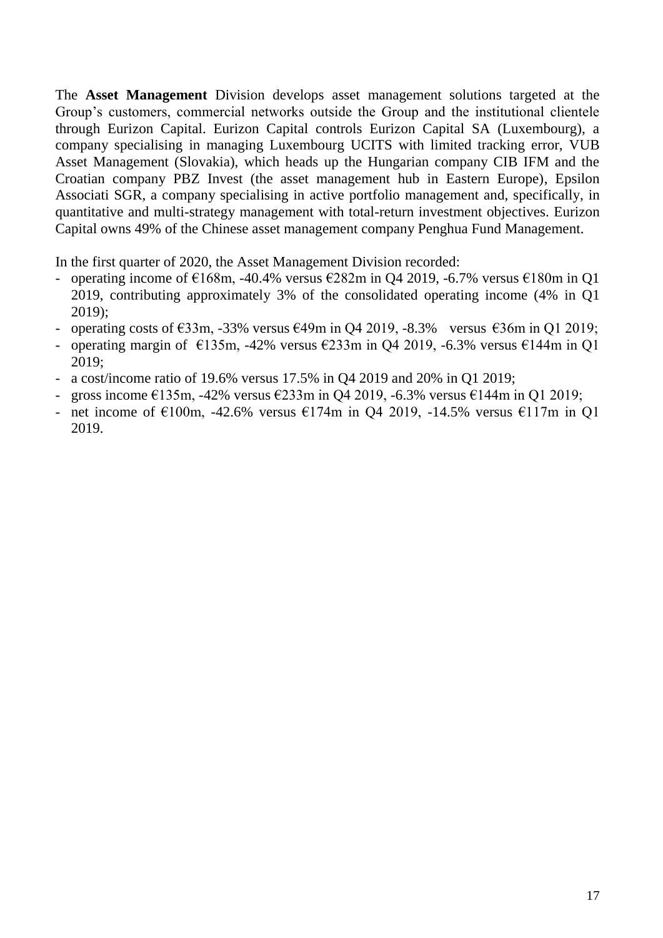The **Asset Management** Division develops asset management solutions targeted at the Group's customers, commercial networks outside the Group and the institutional clientele through Eurizon Capital. Eurizon Capital controls Eurizon Capital SA (Luxembourg), a company specialising in managing Luxembourg UCITS with limited tracking error, VUB Asset Management (Slovakia), which heads up the Hungarian company CIB IFM and the Croatian company PBZ Invest (the asset management hub in Eastern Europe), Epsilon Associati SGR, a company specialising in active portfolio management and, specifically, in quantitative and multi-strategy management with total-return investment objectives. Eurizon Capital owns 49% of the Chinese asset management company Penghua Fund Management.

In the first quarter of 2020, the Asset Management Division recorded:

- operating income of  $E168m$ , -40.4% versus  $E282m$  in Q4 2019, -6.7% versus  $E180m$  in Q1 2019, contributing approximately 3% of the consolidated operating income (4% in Q1 2019);
- operating costs of  $\epsilon$ 33m, -33% versus  $\epsilon$ 49m in Q4 2019, -8.3% versus  $\epsilon$ 36m in Q1 2019;
- operating margin of  $\epsilon$ 135m, -42% versus  $\epsilon$ 233m in Q4 2019, -6.3% versus  $\epsilon$ 144m in Q1 2019;
- a cost/income ratio of 19.6% versus 17.5% in Q4 2019 and 20% in Q1 2019;
- gross income  $\epsilon$ 135m, -42% versus  $\epsilon$ 233m in Q4 2019, -6.3% versus  $\epsilon$ 144m in Q1 2019;
- net income of  $E100m$ , -42.6% versus  $E174m$  in Q4 2019, -14.5% versus  $E117m$  in Q1 2019.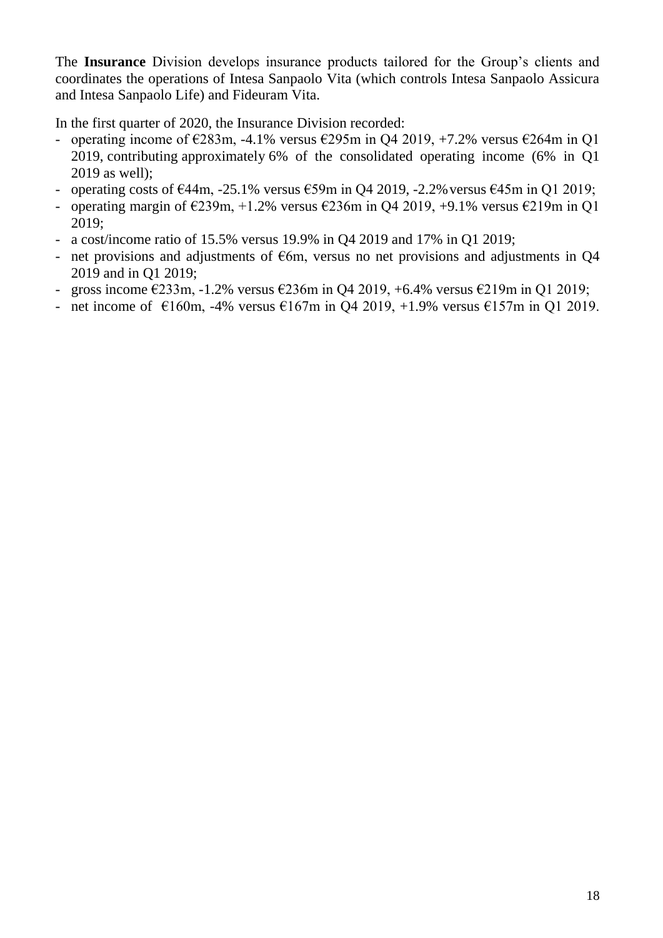The **Insurance** Division develops insurance products tailored for the Group's clients and coordinates the operations of Intesa Sanpaolo Vita (which controls Intesa Sanpaolo Assicura and Intesa Sanpaolo Life) and Fideuram Vita.

In the first quarter of 2020, the Insurance Division recorded:

- operating income of  $\epsilon$ 283m, -4.1% versus  $\epsilon$ 295m in Q4 2019, +7.2% versus  $\epsilon$ 264m in Q1 2019, contributing approximately 6% of the consolidated operating income (6% in Q1 2019 as well);
- operating costs of  $\epsilon$ 44m, -25.1% versus  $\epsilon$ 59m in O4 2019, -2.2% versus  $\epsilon$ 45m in O1 2019;
- operating margin of  $\epsilon$ 239m, +1.2% versus  $\epsilon$ 236m in Q4 2019, +9.1% versus  $\epsilon$ 219m in Q1 2019;
- a cost/income ratio of 15.5% versus 19.9% in Q4 2019 and 17% in Q1 2019;
- net provisions and adjustments of  $\epsilon$ 6m, versus no net provisions and adjustments in Q4 2019 and in Q1 2019;
- gross income €233m, -1.2% versus €236m in Q4 2019, +6.4% versus €219m in Q1 2019;
- net income of  $\epsilon$ 160m, -4% versus  $\epsilon$ 167m in Q4 2019, +1.9% versus  $\epsilon$ 157m in Q1 2019.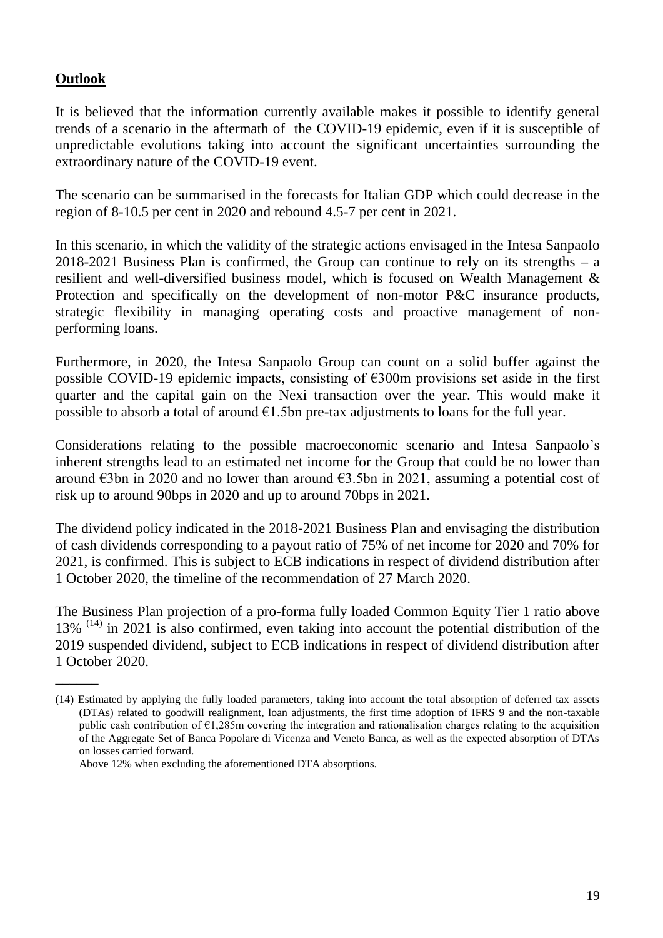### **Outlook**

 $\overline{\phantom{a}}$ 

It is believed that the information currently available makes it possible to identify general trends of a scenario in the aftermath of the COVID-19 epidemic, even if it is susceptible of unpredictable evolutions taking into account the significant uncertainties surrounding the extraordinary nature of the COVID-19 event.

The scenario can be summarised in the forecasts for Italian GDP which could decrease in the region of 8-10.5 per cent in 2020 and rebound 4.5-7 per cent in 2021.

In this scenario, in which the validity of the strategic actions envisaged in the Intesa Sanpaolo 2018-2021 Business Plan is confirmed, the Group can continue to rely on its strengths **–** a resilient and well-diversified business model, which is focused on Wealth Management & Protection and specifically on the development of non-motor P&C insurance products, strategic flexibility in managing operating costs and proactive management of nonperforming loans.

Furthermore, in 2020, the Intesa Sanpaolo Group can count on a solid buffer against the possible COVID-19 epidemic impacts, consisting of €300m provisions set aside in the first quarter and the capital gain on the Nexi transaction over the year. This would make it possible to absorb a total of around  $\epsilon$ 1.5bn pre-tax adjustments to loans for the full year.

Considerations relating to the possible macroeconomic scenario and Intesa Sanpaolo's inherent strengths lead to an estimated net income for the Group that could be no lower than around  $\epsilon$ 3bn in 2020 and no lower than around  $\epsilon$ 3.5bn in 2021, assuming a potential cost of risk up to around 90bps in 2020 and up to around 70bps in 2021.

The dividend policy indicated in the 2018-2021 Business Plan and envisaging the distribution of cash dividends corresponding to a payout ratio of 75% of net income for 2020 and 70% for 2021, is confirmed. This is subject to ECB indications in respect of dividend distribution after 1 October 2020, the timeline of the recommendation of 27 March 2020.

The Business Plan projection of a pro-forma fully loaded Common Equity Tier 1 ratio above 13%  $(14)$  in 2021 is also confirmed, even taking into account the potential distribution of the 2019 suspended dividend, subject to ECB indications in respect of dividend distribution after 1 October 2020.

<sup>(14)</sup> Estimated by applying the fully loaded parameters, taking into account the total absorption of deferred tax assets (DTAs) related to goodwill realignment, loan adjustments, the first time adoption of IFRS 9 and the non-taxable public cash contribution of €1,285m covering the integration and rationalisation charges relating to the acquisition of the Aggregate Set of Banca Popolare di Vicenza and Veneto Banca, as well as the expected absorption of DTAs on losses carried forward.

Above 12% when excluding the aforementioned DTA absorptions.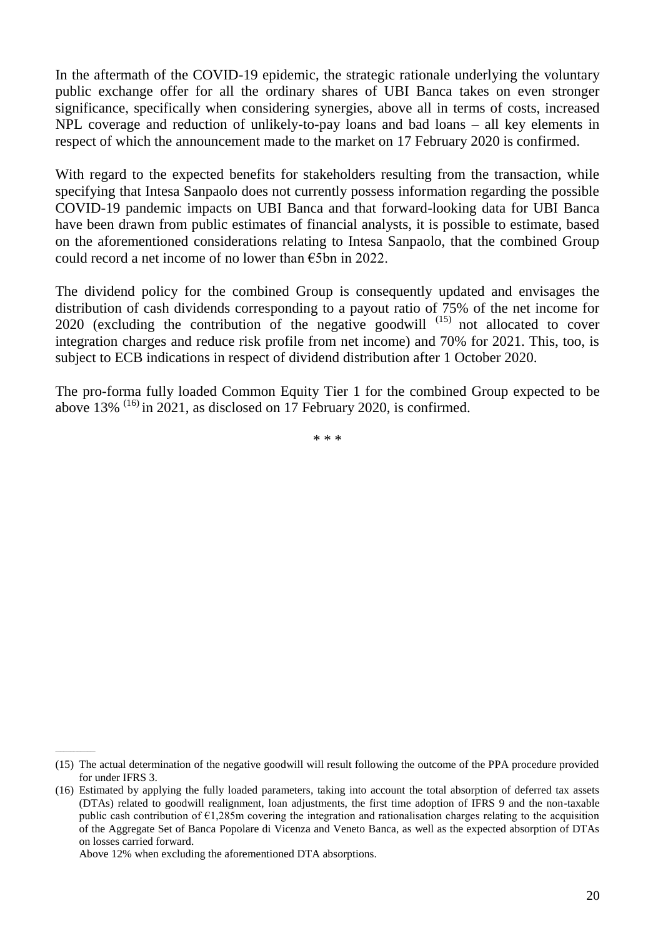In the aftermath of the COVID-19 epidemic, the strategic rationale underlying the voluntary public exchange offer for all the ordinary shares of UBI Banca takes on even stronger significance, specifically when considering synergies, above all in terms of costs, increased NPL coverage and reduction of unlikely-to-pay loans and bad loans – all key elements in respect of which the announcement made to the market on 17 February 2020 is confirmed.

With regard to the expected benefits for stakeholders resulting from the transaction, while specifying that Intesa Sanpaolo does not currently possess information regarding the possible COVID-19 pandemic impacts on UBI Banca and that forward-looking data for UBI Banca have been drawn from public estimates of financial analysts, it is possible to estimate, based on the aforementioned considerations relating to Intesa Sanpaolo, that the combined Group could record a net income of no lower than €5bn in 2022.

The dividend policy for the combined Group is consequently updated and envisages the distribution of cash dividends corresponding to a payout ratio of 75% of the net income for  $2020$  (excluding the contribution of the negative goodwill  $^{(15)}$  not allocated to cover integration charges and reduce risk profile from net income) and 70% for 2021. This, too, is subject to ECB indications in respect of dividend distribution after 1 October 2020.

The pro-forma fully loaded Common Equity Tier 1 for the combined Group expected to be above  $13\%$  <sup>(16)</sup> in 2021, as disclosed on 17 February 2020, is confirmed.

\* \* \*

\_\_\_\_\_\_\_\_\_\_\_\_\_\_\_\_\_\_\_\_\_\_\_\_

<sup>(15)</sup> The actual determination of the negative goodwill will result following the outcome of the PPA procedure provided for under IFRS 3.

<sup>(16)</sup> Estimated by applying the fully loaded parameters, taking into account the total absorption of deferred tax assets (DTAs) related to goodwill realignment, loan adjustments, the first time adoption of IFRS 9 and the non-taxable public cash contribution of  $\epsilon$ 1,285m covering the integration and rationalisation charges relating to the acquisition of the Aggregate Set of Banca Popolare di Vicenza and Veneto Banca, as well as the expected absorption of DTAs on losses carried forward.

Above 12% when excluding the aforementioned DTA absorptions.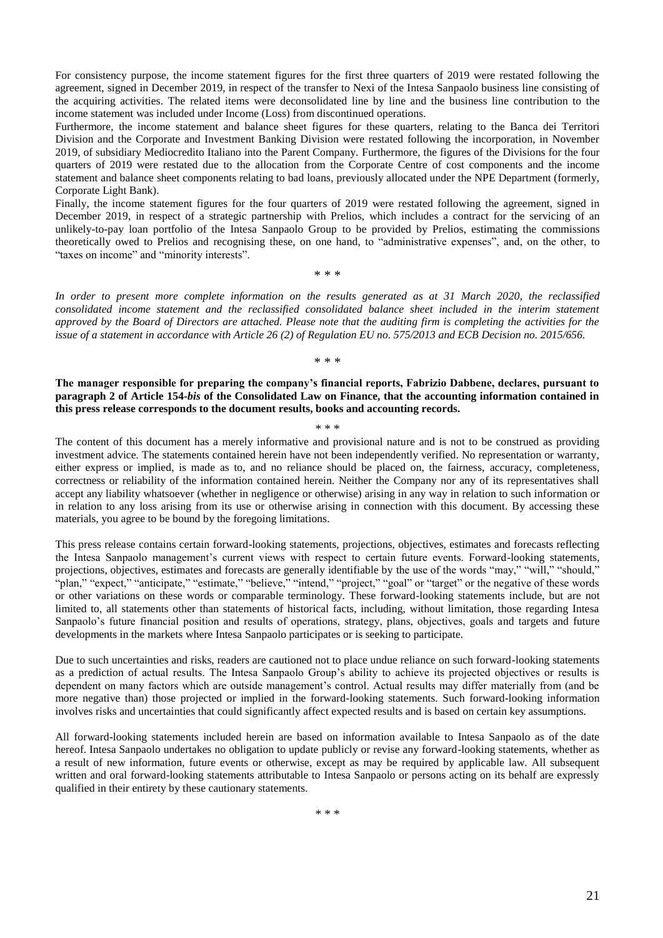For consistency purpose, the income statement figures for the first three quarters of 2019 were restated following the agreement, signed in December 2019, in respect of the transfer to Nexi of the Intesa Sanpaolo business line consisting of the acquiring activities. The related items were deconsolidated line by line and the business line contribution to the income statement was included under Income (Loss) from discontinued operations.

Furthermore, the income statement and balance sheet figures for these quarters, relating to the Banca dei Territori Division and the Corporate and Investment Banking Division were restated following the incorporation, in November 2019, of subsidiary Mediocredito Italiano into the Parent Company. Furthermore, the figures of the Divisions for the four quarters of 2019 were restated due to the allocation from the Corporate Centre of cost components and the income statement and balance sheet components relating to bad loans, previously allocated under the NPE Department (formerly, Corporate Light Bank).

Finally, the income statement figures for the four quarters of 2019 were restated following the agreement, signed in December 2019, in respect of a strategic partnership with Prelios, which includes a contract for the servicing of an unlikely-to-pay loan portfolio of the Intesa Sanpaolo Group to be provided by Prelios, estimating the commissions theoretically owed to Prelios and recognising these, on one hand, to "administrative expenses", and, on the other, to "taxes on income" and "minority interests".

\* \* \*

*In order to present more complete information on the results generated as at 31 March 2020, the reclassified consolidated income statement and the reclassified consolidated balance sheet included in the interim statement approved by the Board of Directors are attached. Please note that the auditing firm is completing the activities for the issue of a statement in accordance with Article 26 (2) of Regulation EU no. 575/2013 and ECB Decision no. 2015/656.* 

\* \* \*

**The manager responsible for preparing the company's financial reports, Fabrizio Dabbene, declares, pursuant to paragraph 2 of Article 154-***bis* **of the Consolidated Law on Finance, that the accounting information contained in this press release corresponds to the document results, books and accounting records.**

\* \* \*

The content of this document has a merely informative and provisional nature and is not to be construed as providing investment advice. The statements contained herein have not been independently verified. No representation or warranty, either express or implied, is made as to, and no reliance should be placed on, the fairness, accuracy, completeness, correctness or reliability of the information contained herein. Neither the Company nor any of its representatives shall accept any liability whatsoever (whether in negligence or otherwise) arising in any way in relation to such information or in relation to any loss arising from its use or otherwise arising in connection with this document. By accessing these materials, you agree to be bound by the foregoing limitations.

This press release contains certain forward-looking statements, projections, objectives, estimates and forecasts reflecting the Intesa Sanpaolo management's current views with respect to certain future events. Forward-looking statements, projections, objectives, estimates and forecasts are generally identifiable by the use of the words "may," "will," "should," "plan," "expect," "anticipate," "estimate," "believe," "intend," "project," "goal" or "target" or the negative of these words or other variations on these words or comparable terminology. These forward-looking statements include, but are not limited to, all statements other than statements of historical facts, including, without limitation, those regarding Intesa Sanpaolo's future financial position and results of operations, strategy, plans, objectives, goals and targets and future developments in the markets where Intesa Sanpaolo participates or is seeking to participate.

Due to such uncertainties and risks, readers are cautioned not to place undue reliance on such forward-looking statements as a prediction of actual results. The Intesa Sanpaolo Group's ability to achieve its projected objectives or results is dependent on many factors which are outside management's control. Actual results may differ materially from (and be more negative than) those projected or implied in the forward-looking statements. Such forward-looking information involves risks and uncertainties that could significantly affect expected results and is based on certain key assumptions.

All forward-looking statements included herein are based on information available to Intesa Sanpaolo as of the date hereof. Intesa Sanpaolo undertakes no obligation to update publicly or revise any forward-looking statements, whether as a result of new information, future events or otherwise, except as may be required by applicable law. All subsequent written and oral forward-looking statements attributable to Intesa Sanpaolo or persons acting on its behalf are expressly qualified in their entirety by these cautionary statements.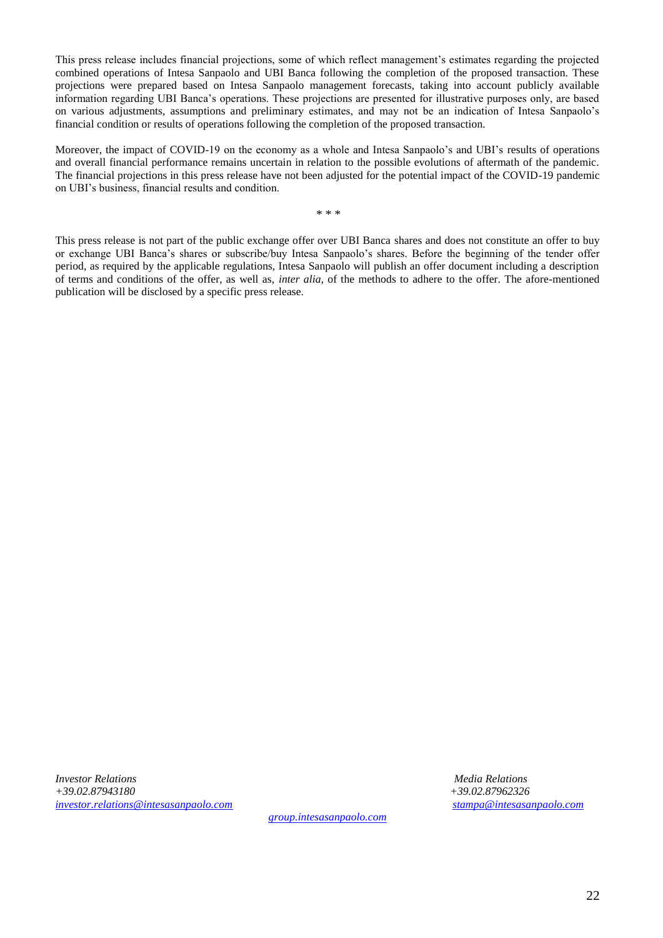This press release includes financial projections, some of which reflect management's estimates regarding the projected combined operations of Intesa Sanpaolo and UBI Banca following the completion of the proposed transaction. These projections were prepared based on Intesa Sanpaolo management forecasts, taking into account publicly available information regarding UBI Banca's operations. These projections are presented for illustrative purposes only, are based on various adjustments, assumptions and preliminary estimates, and may not be an indication of Intesa Sanpaolo's financial condition or results of operations following the completion of the proposed transaction.

Moreover, the impact of COVID-19 on the economy as a whole and Intesa Sanpaolo's and UBI's results of operations and overall financial performance remains uncertain in relation to the possible evolutions of aftermath of the pandemic. The financial projections in this press release have not been adjusted for the potential impact of the COVID-19 pandemic on UBI's business, financial results and condition.

\* \* \*

This press release is not part of the public exchange offer over UBI Banca shares and does not constitute an offer to buy or exchange UBI Banca's shares or subscribe/buy Intesa Sanpaolo's shares. Before the beginning of the tender offer period, as required by the applicable regulations, Intesa Sanpaolo will publish an offer document including a description of terms and conditions of the offer, as well as, *inter alia*, of the methods to adhere to the offer. The afore-mentioned publication will be disclosed by a specific press release.

*Investor Relations Media Relations +39.02.87943180 +39.02.87962326 [investor.relations@intesasanpaolo.com](mailto:investor.relations@intesasanpaolo.com) [stampa@intesasanpaolo.com](mailto:stampa@intesasanpaolo.com)*

*[group.intesasanpaolo.com](https://group.intesasanpaolo.com/en/)*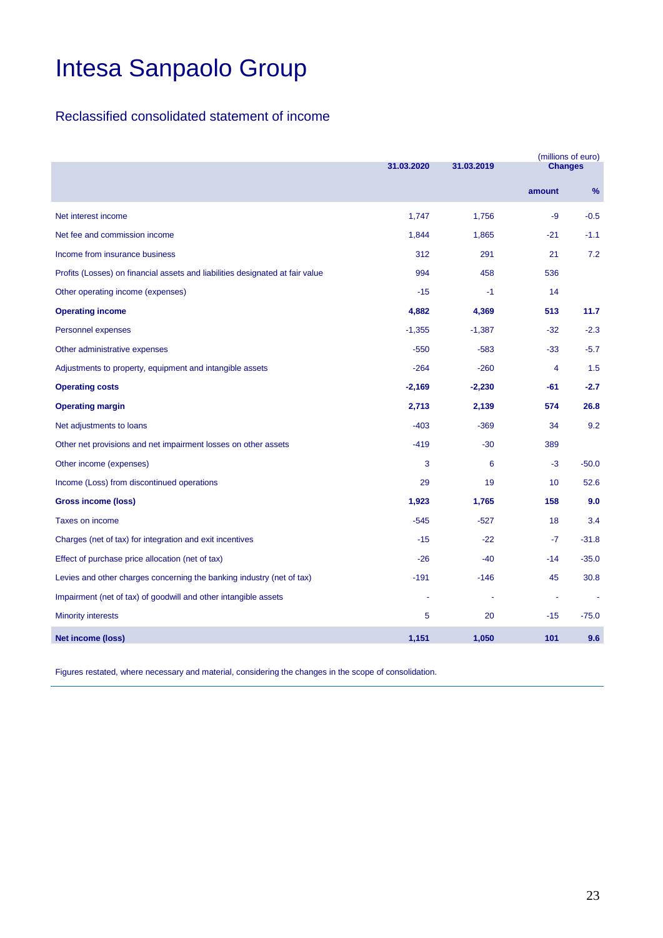### Reclassified consolidated statement of income

|                                                                               | 31.03.2020 |          |                 |         |
|-------------------------------------------------------------------------------|------------|----------|-----------------|---------|
|                                                                               |            |          | <b>Changes</b>  |         |
|                                                                               |            |          | amount          | $\%$    |
| Net interest income                                                           | 1,747      | 1,756    | $-9$            | $-0.5$  |
| Net fee and commission income                                                 | 1,844      | 1,865    | $-21$           | $-1.1$  |
| Income from insurance business                                                | 312        | 291      | 21              | 7.2     |
| Profits (Losses) on financial assets and liabilities designated at fair value | 994        | 458      | 536             |         |
| Other operating income (expenses)                                             | $-15$      | $-1$     | 14              |         |
| <b>Operating income</b>                                                       | 4,882      | 4,369    | 513             | 11.7    |
| <b>Personnel expenses</b>                                                     | $-1,355$   | $-1,387$ | $-32$           | $-2.3$  |
| Other administrative expenses                                                 | $-550$     | $-583$   | $-33$           | $-5.7$  |
| Adjustments to property, equipment and intangible assets                      | $-264$     | $-260$   | $\overline{4}$  | 1.5     |
| <b>Operating costs</b>                                                        | $-2,169$   | $-2,230$ | -61             | $-2.7$  |
| <b>Operating margin</b>                                                       | 2,713      | 2,139    | 574             | 26.8    |
| Net adjustments to loans                                                      | $-403$     | $-369$   | 34              | 9.2     |
| Other net provisions and net impairment losses on other assets                | $-419$     | $-30$    | 389             |         |
| Other income (expenses)                                                       | 3          | 6        | $-3$            | $-50.0$ |
| Income (Loss) from discontinued operations                                    | 29         | 19       | 10 <sup>1</sup> | 52.6    |
| <b>Gross income (loss)</b>                                                    | 1,923      | 1,765    | 158             | 9.0     |
| Taxes on income                                                               | $-545$     | $-527$   | 18              | 3.4     |
| Charges (net of tax) for integration and exit incentives                      | $-15$      | $-22$    | -7              | $-31.8$ |
| Effect of purchase price allocation (net of tax)                              | $-26$      | $-40$    | $-14$           | $-35.0$ |
| Levies and other charges concerning the banking industry (net of tax)         | $-191$     | $-146$   | 45              | 30.8    |
| Impairment (net of tax) of goodwill and other intangible assets               |            |          | ÷               |         |
| <b>Minority interests</b>                                                     | 5          | 20       | $-15$           | $-75.0$ |
| <b>Net income (loss)</b>                                                      | 1,151      | 1,050    | 101             | 9.6     |

Figures restated, where necessary and material, considering the changes in the scope of consolidation.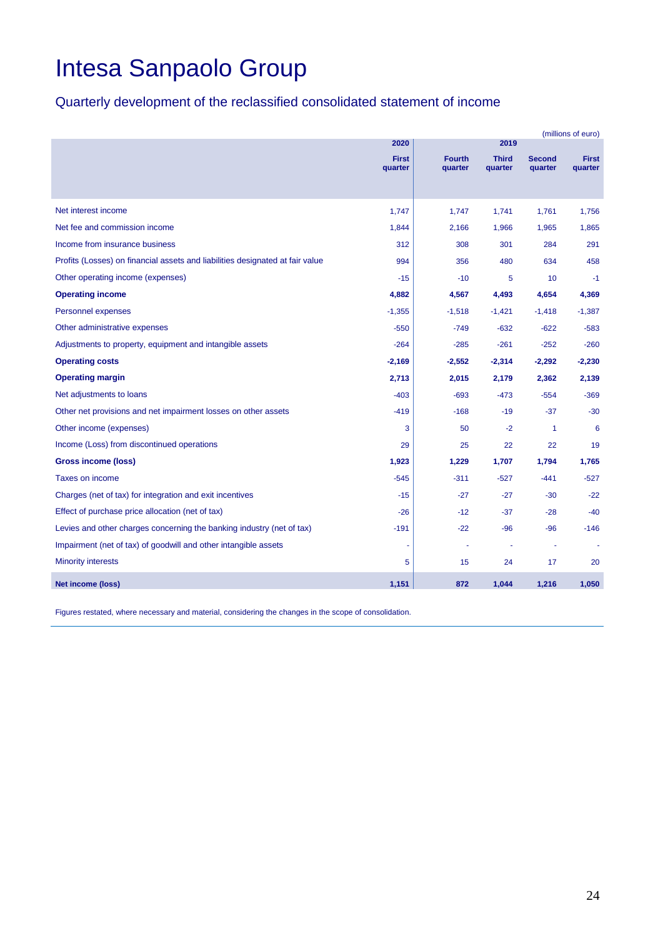### Quarterly development of the reclassified consolidated statement of income

|                                                                               | (millions of euro)      |                          |                         |                          |                         |
|-------------------------------------------------------------------------------|-------------------------|--------------------------|-------------------------|--------------------------|-------------------------|
|                                                                               | 2020                    |                          | 2019                    |                          |                         |
|                                                                               | <b>First</b><br>quarter | <b>Fourth</b><br>quarter | <b>Third</b><br>quarter | <b>Second</b><br>quarter | <b>First</b><br>quarter |
|                                                                               |                         |                          |                         |                          |                         |
|                                                                               |                         |                          |                         |                          |                         |
| Net interest income                                                           | 1,747                   | 1,747                    | 1,741                   | 1,761                    | 1,756                   |
| Net fee and commission income                                                 | 1,844                   | 2,166                    | 1,966                   | 1,965                    | 1,865                   |
| Income from insurance business                                                | 312                     | 308                      | 301                     | 284                      | 291                     |
| Profits (Losses) on financial assets and liabilities designated at fair value | 994                     | 356                      | 480                     | 634                      | 458                     |
| Other operating income (expenses)                                             | $-15$                   | $-10$                    | 5                       | 10                       | $-1$                    |
| <b>Operating income</b>                                                       | 4,882                   | 4,567                    | 4,493                   | 4,654                    | 4,369                   |
| Personnel expenses                                                            | $-1,355$                | $-1,518$                 | $-1,421$                | $-1,418$                 | $-1,387$                |
| Other administrative expenses                                                 | $-550$                  | $-749$                   | $-632$                  | $-622$                   | $-583$                  |
| Adjustments to property, equipment and intangible assets                      | $-264$                  | $-285$                   | $-261$                  | $-252$                   | $-260$                  |
| <b>Operating costs</b>                                                        | $-2,169$                | $-2,552$                 | $-2,314$                | $-2,292$                 | $-2,230$                |
| <b>Operating margin</b>                                                       | 2,713                   | 2,015                    | 2,179                   | 2,362                    | 2,139                   |
| Net adjustments to loans                                                      | $-403$                  | $-693$                   | $-473$                  | $-554$                   | $-369$                  |
| Other net provisions and net impairment losses on other assets                | $-419$                  | $-168$                   | $-19$                   | $-37$                    | $-30$                   |
| Other income (expenses)                                                       | 3                       | 50                       | $-2$                    | $\mathbf{1}$             | 6                       |
| Income (Loss) from discontinued operations                                    | 29                      | 25                       | 22                      | 22                       | 19                      |
| <b>Gross income (loss)</b>                                                    | 1,923                   | 1,229                    | 1,707                   | 1,794                    | 1,765                   |
| Taxes on income                                                               | $-545$                  | $-311$                   | $-527$                  | $-441$                   | $-527$                  |
| Charges (net of tax) for integration and exit incentives                      | $-15$                   | $-27$                    | $-27$                   | $-30$                    | $-22$                   |
| Effect of purchase price allocation (net of tax)                              | $-26$                   | $-12$                    | $-37$                   | $-28$                    | $-40$                   |
| Levies and other charges concerning the banking industry (net of tax)         | $-191$                  | $-22$                    | $-96$                   | $-96$                    | $-146$                  |
| Impairment (net of tax) of goodwill and other intangible assets               |                         | ÷,                       |                         |                          |                         |
| <b>Minority interests</b>                                                     | 5                       | 15                       | 24                      | 17                       | 20                      |
| <b>Net income (loss)</b>                                                      | 1,151                   | 872                      | 1,044                   | 1,216                    | 1,050                   |

Figures restated, where necessary and material, considering the changes in the scope of consolidation.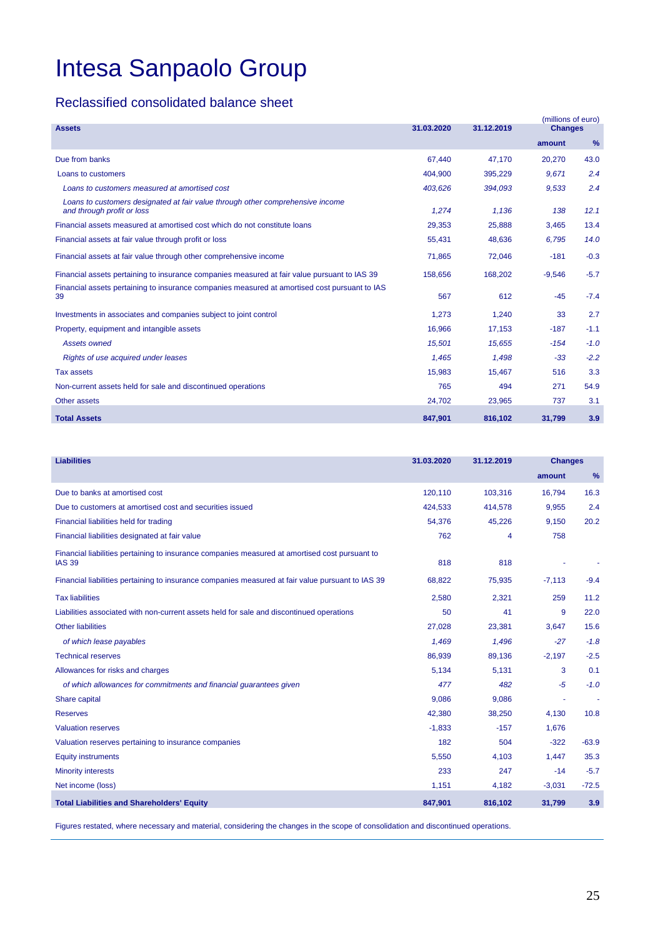#### Reclassified consolidated balance sheet

|                                                                                                              |            |            | (millions of euro) |        |
|--------------------------------------------------------------------------------------------------------------|------------|------------|--------------------|--------|
| <b>Assets</b>                                                                                                | 31.03.2020 | 31.12.2019 | <b>Changes</b>     |        |
|                                                                                                              |            |            | amount             | $\%$   |
| Due from banks                                                                                               | 67.440     | 47.170     | 20.270             | 43.0   |
| Loans to customers                                                                                           | 404,900    | 395,229    | 9.671              | 2.4    |
| Loans to customers measured at amortised cost                                                                | 403,626    | 394,093    | 9,533              | 2.4    |
| Loans to customers designated at fair value through other comprehensive income<br>and through profit or loss | 1.274      | 1.136      | 138                | 12.1   |
| Financial assets measured at amortised cost which do not constitute loans                                    | 29.353     | 25.888     | 3.465              | 13.4   |
| Financial assets at fair value through profit or loss                                                        | 55,431     | 48,636     | 6.795              | 14.0   |
| Financial assets at fair value through other comprehensive income                                            | 71,865     | 72,046     | $-181$             | $-0.3$ |
| Financial assets pertaining to insurance companies measured at fair value pursuant to IAS 39                 | 158,656    | 168,202    | $-9,546$           | $-5.7$ |
| Financial assets pertaining to insurance companies measured at amortised cost pursuant to IAS<br>39          | 567        | 612        | $-45$              | $-7.4$ |
| Investments in associates and companies subject to joint control                                             | 1,273      | 1,240      | 33                 | 2.7    |
| Property, equipment and intangible assets                                                                    | 16.966     | 17,153     | $-187$             | $-1.1$ |
| <b>Assets owned</b>                                                                                          | 15,501     | 15,655     | $-154$             | $-1.0$ |
| Rights of use acquired under leases                                                                          | 1.465      | 1.498      | $-33$              | $-2.2$ |
| <b>Tax assets</b>                                                                                            | 15,983     | 15,467     | 516                | 3.3    |
| Non-current assets held for sale and discontinued operations                                                 | 765        | 494        | 271                | 54.9   |
| <b>Other assets</b>                                                                                          | 24,702     | 23,965     | 737                | 3.1    |
| <b>Total Assets</b>                                                                                          | 847,901    | 816,102    | 31,799             | 3.9    |

| <b>Liabilities</b>                                                                                              | 31.03.2020 | 31.12.2019 | <b>Changes</b> |         |
|-----------------------------------------------------------------------------------------------------------------|------------|------------|----------------|---------|
|                                                                                                                 |            |            | amount         | $\%$    |
| Due to banks at amortised cost                                                                                  | 120,110    | 103,316    | 16,794         | 16.3    |
| Due to customers at amortised cost and securities issued                                                        | 424,533    | 414,578    | 9,955          | 2.4     |
| Financial liabilities held for trading                                                                          | 54,376     | 45,226     | 9,150          | 20.2    |
| Financial liabilities designated at fair value                                                                  | 762        | 4          | 758            |         |
| Financial liabilities pertaining to insurance companies measured at amortised cost pursuant to<br><b>IAS 39</b> | 818        | 818        |                |         |
| Financial liabilities pertaining to insurance companies measured at fair value pursuant to IAS 39               | 68,822     | 75,935     | $-7,113$       | $-9.4$  |
| <b>Tax liabilities</b>                                                                                          | 2,580      | 2,321      | 259            | 11.2    |
| Liabilities associated with non-current assets held for sale and discontinued operations                        | 50         | 41         | 9              | 22.0    |
| <b>Other liabilities</b>                                                                                        | 27,028     | 23,381     | 3,647          | 15.6    |
| of which lease payables                                                                                         | 1,469      | 1,496      | $-27$          | $-1.8$  |
| <b>Technical reserves</b>                                                                                       | 86,939     | 89,136     | $-2,197$       | $-2.5$  |
| Allowances for risks and charges                                                                                | 5,134      | 5,131      | 3              | 0.1     |
| of which allowances for commitments and financial guarantees given                                              | 477        | 482        | $-5$           | $-1.0$  |
| Share capital                                                                                                   | 9.086      | 9,086      |                |         |
| <b>Reserves</b>                                                                                                 | 42,380     | 38,250     | 4,130          | 10.8    |
| <b>Valuation reserves</b>                                                                                       | $-1,833$   | $-157$     | 1,676          |         |
| Valuation reserves pertaining to insurance companies                                                            | 182        | 504        | $-322$         | $-63.9$ |
| <b>Equity instruments</b>                                                                                       | 5,550      | 4,103      | 1,447          | 35.3    |
| <b>Minority interests</b>                                                                                       | 233        | 247        | $-14$          | $-5.7$  |
| Net income (loss)                                                                                               | 1,151      | 4,182      | $-3,031$       | $-72.5$ |
| <b>Total Liabilities and Shareholders' Equity</b>                                                               | 847,901    | 816,102    | 31,799         | 3.9     |

Figures restated, where necessary and material, considering the changes in the scope of consolidation and discontinued operations.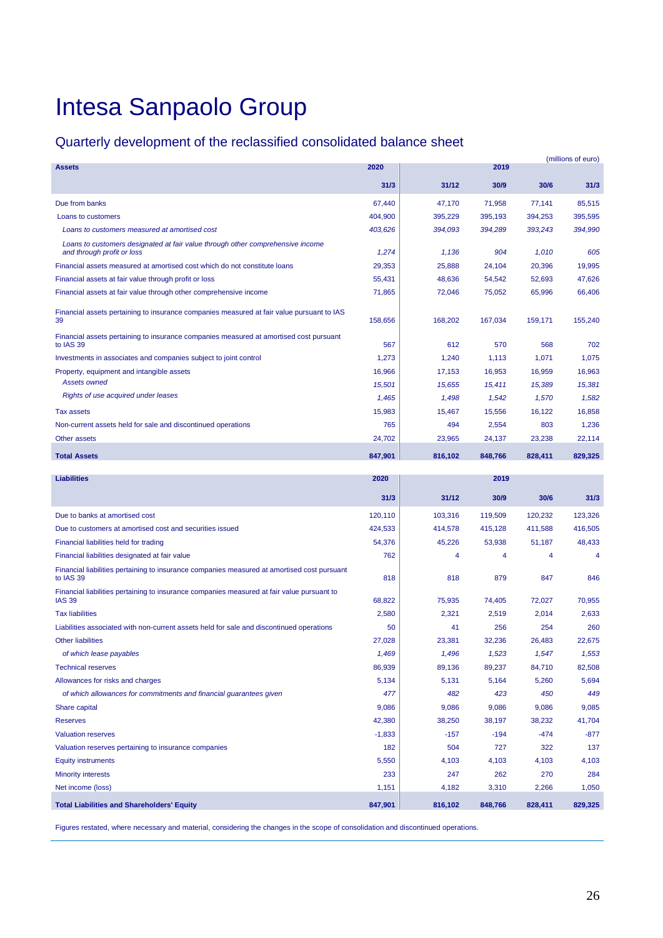### Quarterly development of the reclassified consolidated balance sheet

| <b>Assets</b>                                                                                            | 2020     |         | 2019    |         | (millions of euro) |
|----------------------------------------------------------------------------------------------------------|----------|---------|---------|---------|--------------------|
|                                                                                                          |          |         |         |         |                    |
|                                                                                                          | 31/3     | 31/12   | 30/9    | 30/6    | 31/3               |
| Due from banks                                                                                           | 67,440   | 47,170  | 71,958  | 77,141  | 85,515             |
| Loans to customers                                                                                       | 404,900  | 395,229 | 395,193 | 394,253 | 395,595            |
| Loans to customers measured at amortised cost                                                            | 403,626  | 394,093 | 394,289 | 393,243 | 394,990            |
| Loans to customers designated at fair value through other comprehensive income                           |          |         |         |         |                    |
| and through profit or loss                                                                               | 1,274    | 1,136   | 904     | 1,010   | 605                |
| Financial assets measured at amortised cost which do not constitute loans                                | 29,353   | 25,888  | 24,104  | 20,396  | 19,995             |
| Financial assets at fair value through profit or loss                                                    | 55,431   | 48.636  | 54,542  | 52,693  | 47,626             |
| Financial assets at fair value through other comprehensive income                                        | 71,865   | 72,046  | 75,052  | 65,996  | 66,406             |
| Financial assets pertaining to insurance companies measured at fair value pursuant to IAS<br>39          | 158,656  | 168,202 | 167,034 | 159,171 | 155,240            |
| Financial assets pertaining to insurance companies measured at amortised cost pursuant<br>to IAS 39      | 567      | 612     | 570     | 568     | 702                |
| Investments in associates and companies subject to joint control                                         | 1,273    | 1,240   | 1,113   | 1,071   | 1,075              |
| Property, equipment and intangible assets                                                                | 16,966   | 17,153  | 16,953  | 16,959  | 16,963             |
| <b>Assets owned</b>                                                                                      | 15,501   | 15,655  | 15,411  | 15,389  | 15,381             |
| Rights of use acquired under leases                                                                      | 1,465    | 1,498   | 1,542   | 1,570   | 1,582              |
| <b>Tax assets</b>                                                                                        | 15,983   | 15,467  | 15,556  | 16,122  | 16,858             |
| Non-current assets held for sale and discontinued operations                                             | 765      | 494     | 2,554   | 803     | 1,236              |
| Other assets                                                                                             | 24,702   | 23,965  | 24,137  | 23,238  | 22,114             |
| <b>Total Assets</b>                                                                                      | 847,901  | 816,102 | 848,766 | 828,411 | 829,325            |
| <b>Liabilities</b>                                                                                       | 2020     |         | 2019    |         |                    |
|                                                                                                          |          |         |         |         |                    |
|                                                                                                          | 31/3     | 31/12   | 30/9    | 30/6    | 31/3               |
| Due to banks at amortised cost                                                                           | 120,110  | 103,316 | 119,509 | 120,232 | 123,326            |
| Due to customers at amortised cost and securities issued                                                 |          |         |         |         |                    |
|                                                                                                          | 424,533  | 414,578 | 415,128 | 411,588 | 416,505            |
| Financial liabilities held for trading                                                                   | 54,376   | 45,226  | 53,938  | 51,187  | 48,433             |
| Financial liabilities designated at fair value                                                           | 762      | 4       | 4       | 4       | 4                  |
| Financial liabilities pertaining to insurance companies measured at amortised cost pursuant<br>to IAS 39 | 818      | 818     | 879     | 847     | 846                |
| Financial liabilities pertaining to insurance companies measured at fair value pursuant to               |          |         |         |         |                    |
| <b>IAS 39</b>                                                                                            | 68,822   | 75,935  | 74,405  | 72,027  | 70,955             |
| <b>Tax liabilities</b>                                                                                   | 2,580    | 2,321   | 2,519   | 2,014   | 2,633              |
| Liabilities associated with non-current assets held for sale and discontinued operations                 | 50       | 41      | 256     | 254     | 260                |
| <b>Other liabilities</b>                                                                                 | 27,028   | 23,381  | 32,236  | 26,483  | 22,675             |
| of which lease payables                                                                                  | 1,469    | 1,496   | 1,523   | 1,547   | 1,553              |
| <b>Technical reserves</b>                                                                                | 86,939   | 89,136  | 89,237  | 84,710  | 82,508             |
| Allowances for risks and charges                                                                         | 5,134    | 5,131   | 5,164   | 5,260   | 5,694              |
| of which allowances for commitments and financial guarantees given                                       | 477      | 482     | 423     | 450     | 449                |
| Share capital                                                                                            | 9,086    | 9,086   | 9,086   | 9,086   | 9,085              |
| <b>Reserves</b>                                                                                          | 42,380   | 38,250  | 38,197  | 38,232  | 41,704             |
| <b>Valuation reserves</b>                                                                                | $-1,833$ | $-157$  | $-194$  | $-474$  | $-877$             |
| Valuation reserves pertaining to insurance companies                                                     | 182      | 504     | 727     | 322     | 137                |
| <b>Equity instruments</b>                                                                                | 5,550    | 4,103   | 4,103   | 4,103   | 4,103              |
| <b>Minority interests</b>                                                                                | 233      | 247     | 262     | 270     | 284                |
| Net income (loss)                                                                                        | 1,151    | 4,182   | 3,310   | 2,266   | 1,050              |

Figures restated, where necessary and material, considering the changes in the scope of consolidation and discontinued operations.